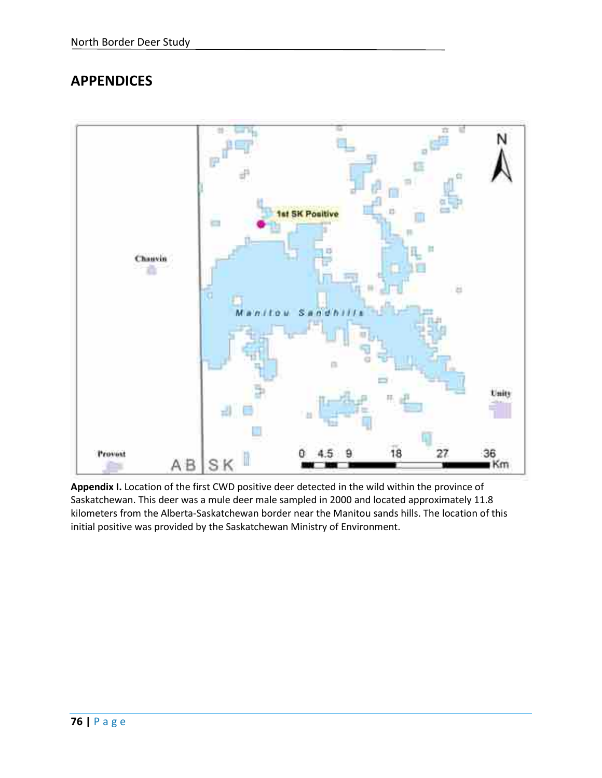# **APPENDICES**



**Appendix I.** Location of the first CWD positive deer detected in the wild within the province of Saskatchewan. This deer was a mule deer male sampled in 2000 and located approximately 11.8 kilometers from the Alberta-Saskatchewan border near the Manitou sands hills. The location of this initial positive was provided by the Saskatchewan Ministry of Environment.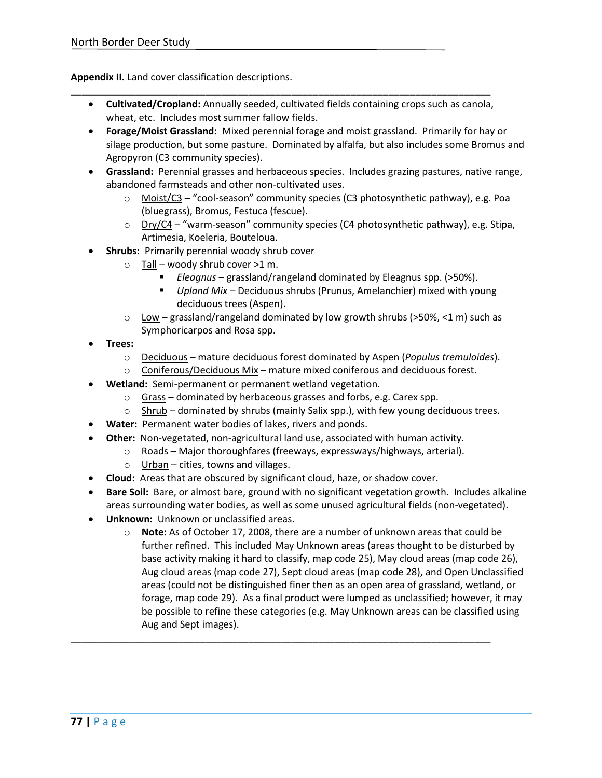**Appendix II.** Land cover classification descriptions.

• **Cultivated/Cropland:** Annually seeded, cultivated fields containing crops such as canola, wheat, etc. Includes most summer fallow fields.

**\_\_\_\_\_\_\_\_\_\_\_\_\_\_\_\_\_\_\_\_\_\_\_\_\_\_\_\_\_\_\_\_\_\_\_\_\_\_\_\_\_\_\_\_\_\_\_\_\_\_\_\_\_\_\_\_\_\_\_\_\_\_\_\_\_\_\_\_\_\_\_\_\_\_\_\_\_\_**

- **Forage/Moist Grassland:** Mixed perennial forage and moist grassland. Primarily for hay or silage production, but some pasture. Dominated by alfalfa, but also includes some Bromus and Agropyron (C3 community species).
- **Grassland:** Perennial grasses and herbaceous species. Includes grazing pastures, native range, abandoned farmsteads and other non-cultivated uses.
	- $\circ$  Moist/C3 "cool-season" community species (C3 photosynthetic pathway), e.g. Poa (bluegrass), Bromus, Festuca (fescue).
	- $\circ$  Dry/C4 "warm-season" community species (C4 photosynthetic pathway), e.g. Stipa, Artimesia, Koeleria, Bouteloua.
- **Shrubs:** Primarily perennial woody shrub cover
	- $\circ$  Tall woody shrub cover >1 m.
		- *Eleagnus* grassland/rangeland dominated by Eleagnus spp. (>50%).
		- *Upland Mix* Deciduous shrubs (Prunus, Amelanchier) mixed with young deciduous trees (Aspen).
	- $\circ$  Low grassland/rangeland dominated by low growth shrubs (>50%, <1 m) such as Symphoricarpos and Rosa spp.
- **Trees:**
	- o Deciduous mature deciduous forest dominated by Aspen (*Populus tremuloides*).
	- $\circ$  Coniferous/Deciduous Mix mature mixed coniferous and deciduous forest.
- **Wetland:** Semi-permanent or permanent wetland vegetation.
	- $\circ$  Grass dominated by herbaceous grasses and forbs, e.g. Carex spp.
	- $\circ$  Shrub dominated by shrubs (mainly Salix spp.), with few young deciduous trees.
- **Water:** Permanent water bodies of lakes, rivers and ponds.
- **Other:** Non-vegetated, non-agricultural land use, associated with human activity.

\_\_\_\_\_\_\_\_\_\_\_\_\_\_\_\_\_\_\_\_\_\_\_\_\_\_\_\_\_\_\_\_\_\_\_\_\_\_\_\_\_\_\_\_\_\_\_\_\_\_\_\_\_\_\_\_\_\_\_\_\_\_\_\_\_\_\_\_\_\_\_\_\_\_\_\_\_\_

- o Roads Major thoroughfares (freeways, expressways/highways, arterial).
- o Urban cities, towns and villages.
- **Cloud:** Areas that are obscured by significant cloud, haze, or shadow cover.
- **Bare Soil:** Bare, or almost bare, ground with no significant vegetation growth. Includes alkaline areas surrounding water bodies, as well as some unused agricultural fields (non-vegetated).
- **Unknown:** Unknown or unclassified areas.
	- o **Note:** As of October 17, 2008, there are a number of unknown areas that could be further refined. This included May Unknown areas (areas thought to be disturbed by base activity making it hard to classify, map code 25), May cloud areas (map code 26), Aug cloud areas (map code 27), Sept cloud areas (map code 28), and Open Unclassified areas (could not be distinguished finer then as an open area of grassland, wetland, or forage, map code 29). As a final product were lumped as unclassified; however, it may be possible to refine these categories (e.g. May Unknown areas can be classified using Aug and Sept images).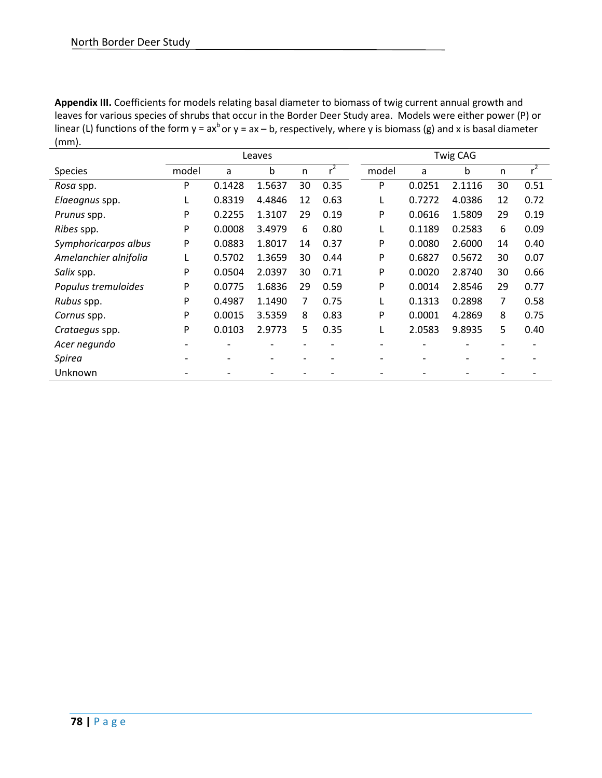**Appendix III.** Coefficients for models relating basal diameter to biomass of twig current annual growth and leaves for various species of shrubs that occur in the Border Deer Study area. Models were either power (P) or linear (L) functions of the form  $y = ax^b$  or  $y = ax - b$ , respectively, where y is biomass (g) and x is basal diameter (mm).

|                       |       |        | Leaves |    |       |       |        | <b>Twig CAG</b> |    |       |
|-----------------------|-------|--------|--------|----|-------|-------|--------|-----------------|----|-------|
| <b>Species</b>        | model | a      | b      | n  | $r^2$ | model | a      | b               | n  | $r^2$ |
| <i>Rosa</i> spp.      | P     | 0.1428 | 1.5637 | 30 | 0.35  | P     | 0.0251 | 2.1116          | 30 | 0.51  |
| Elaeagnus spp.        |       | 0.8319 | 4.4846 | 12 | 0.63  |       | 0.7272 | 4.0386          | 12 | 0.72  |
| <i>Prunus</i> spp.    | P     | 0.2255 | 1.3107 | 29 | 0.19  | P     | 0.0616 | 1.5809          | 29 | 0.19  |
| Ribes spp.            | P     | 0.0008 | 3.4979 | 6  | 0.80  |       | 0.1189 | 0.2583          | 6  | 0.09  |
| Symphoricarpos albus  | P     | 0.0883 | 1.8017 | 14 | 0.37  | P     | 0.0080 | 2.6000          | 14 | 0.40  |
| Amelanchier alnifolia |       | 0.5702 | 1.3659 | 30 | 0.44  | P     | 0.6827 | 0.5672          | 30 | 0.07  |
| Salix spp.            | P     | 0.0504 | 2.0397 | 30 | 0.71  | P     | 0.0020 | 2.8740          | 30 | 0.66  |
| Populus tremuloides   | P     | 0.0775 | 1.6836 | 29 | 0.59  | P     | 0.0014 | 2.8546          | 29 | 0.77  |
| Rubus spp.            | P     | 0.4987 | 1.1490 | 7  | 0.75  |       | 0.1313 | 0.2898          | 7  | 0.58  |
| Cornus spp.           | P     | 0.0015 | 3.5359 | 8  | 0.83  | P     | 0.0001 | 4.2869          | 8  | 0.75  |
| Crataegus spp.        | P     | 0.0103 | 2.9773 | 5  | 0.35  |       | 2.0583 | 9.8935          | 5  | 0.40  |
| Acer negundo          |       |        |        |    |       |       |        |                 | -  |       |
| <b>Spirea</b>         |       |        |        |    |       |       |        |                 |    |       |
| Unknown               |       |        |        |    |       |       |        |                 |    |       |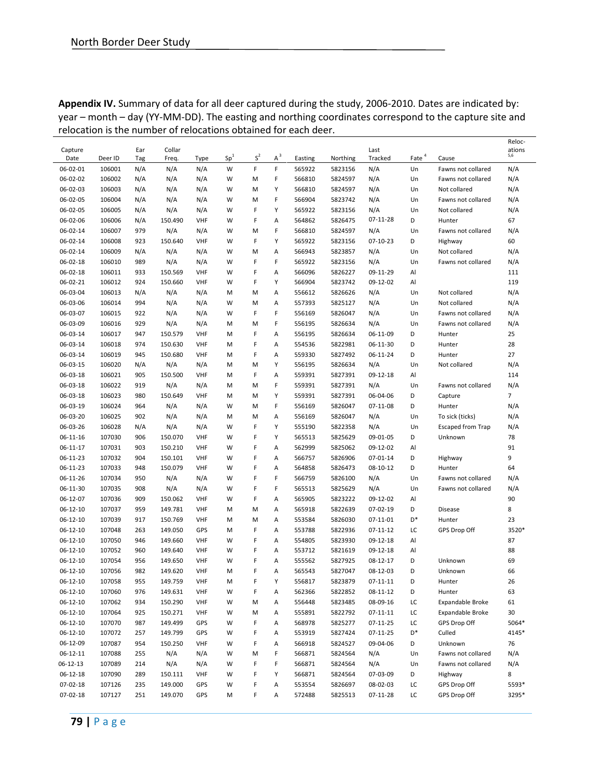|                |         |     | relocation is the number of relocations obtained for |            |                 |       |       | Cach acch. |          |                |                   |                          | Reloc-         |
|----------------|---------|-----|------------------------------------------------------|------------|-----------------|-------|-------|------------|----------|----------------|-------------------|--------------------------|----------------|
| Capture        |         | Ear | Collar                                               |            |                 |       |       |            |          | Last           |                   |                          | ations         |
| Date           | Deer ID | Tag | Freq.                                                | Type       | Sp <sup>1</sup> | $S^2$ | $A^3$ | Easting    | Northing | Tracked        | Eate <sup>4</sup> | Cause                    | 5,6            |
| 06-02-01       | 106001  | N/A | N/A                                                  | N/A        | W               | F     | F     | 565922     | 5823156  | N/A            | Un                | Fawns not collared       | N/A            |
| 06-02-02       | 106002  | N/A | N/A                                                  | N/A        | W               | М     | F     | 566810     | 5824597  | N/A            | Un                | Fawns not collared       | N/A            |
| 06-02-03       | 106003  | N/A | N/A                                                  | N/A        | W               | М     | Υ     | 566810     | 5824597  | N/A            | Un                | Not collared             | N/A            |
| 06-02-05       | 106004  | N/A | N/A                                                  | N/A        | W               | М     | F     | 566904     | 5823742  | N/A            | Un                | Fawns not collared       | N/A            |
| 06-02-05       | 106005  | N/A | N/A                                                  | N/A        | W               | F     | Υ     | 565922     | 5823156  | N/A            | Un                | Not collared             | N/A            |
| 06-02-06       | 106006  | N/A | 150.490                                              | <b>VHF</b> | W               | F     | Α     | 564862     | 5826475  | 07-11-28       | D                 | Hunter                   | 67             |
| 06-02-14       | 106007  | 979 | N/A                                                  | N/A        | W               | M     | F     | 566810     | 5824597  | N/A            | Un                | Fawns not collared       | N/A            |
| 06-02-14       | 106008  | 923 | 150.640                                              | <b>VHF</b> | W               | F     | Υ     | 565922     | 5823156  | $07 - 10 - 23$ | D                 | Highway                  | 60             |
| 06-02-14       | 106009  | N/A | N/A                                                  | N/A        | W               | M     | Α     | 566943     | 5823857  | N/A            | Un                | Not collared             | N/A            |
| 06-02-18       | 106010  | 989 | N/A                                                  | N/A        | W               | F     | F     | 565922     | 5823156  | N/A            | Un                | Fawns not collared       | N/A            |
| 06-02-18       | 106011  | 933 | 150.569                                              | <b>VHF</b> | W               | F     | Α     | 566096     | 5826227  | 09-11-29       | Al                |                          | 111            |
| 06-02-21       | 106012  | 924 | 150.660                                              | <b>VHF</b> | W               | F     | Υ     | 566904     | 5823742  | 09-12-02       | Al                |                          | 119            |
| 06-03-04       | 106013  | N/A | N/A                                                  | N/A        | M               | M     | Α     | 556612     | 5826626  | N/A            | Un                | Not collared             | N/A            |
| 06-03-06       | 106014  | 994 | N/A                                                  | N/A        | W               | M     | Α     | 557393     | 5825127  | N/A            | Un                | Not collared             | N/A            |
| 06-03-07       | 106015  | 922 | N/A                                                  | N/A        | W               | F     | F     | 556169     | 5826047  | N/A            | Un                | Fawns not collared       | N/A            |
| 06-03-09       | 106016  | 929 | N/A                                                  | N/A        | M               | M     | F     | 556195     | 5826634  | N/A            | Un                | Fawns not collared       | N/A            |
| 06-03-14       | 106017  | 947 | 150.579                                              | <b>VHF</b> | M               | F     | Α     | 556195     | 5826634  | 06-11-09       | D                 | Hunter                   | 25             |
| 06-03-14       | 106018  | 974 | 150.630                                              | <b>VHF</b> | M               | F     | Α     | 554536     | 5822981  | 06-11-30       | D                 | Hunter                   | 28             |
| 06-03-14       | 106019  | 945 | 150.680                                              | <b>VHF</b> | M               | F     | Α     | 559330     | 5827492  | 06-11-24       | D                 | Hunter                   | 27             |
| 06-03-15       | 106020  | N/A | N/A                                                  | N/A        | M               | M     | Υ     | 556195     | 5826634  | N/A            | Un                | Not collared             | N/A            |
| 06-03-18       | 106021  | 905 | 150.500                                              | VHF        | M               | F     | А     | 559391     | 5827391  | 09-12-18       | Al                |                          | 114            |
| 06-03-18       | 106022  | 919 |                                                      | N/A        | M               | M     | F     | 559391     | 5827391  | N/A            | Un                | Fawns not collared       | N/A            |
|                |         |     | N/A                                                  |            |                 |       | Υ     |            |          |                |                   |                          |                |
| 06-03-18       | 106023  | 980 | 150.649                                              | VHF        | M               | М     |       | 559391     | 5827391  | 06-04-06       | D                 | Capture                  | $\overline{7}$ |
| 06-03-19       | 106024  | 964 | N/A                                                  | N/A        | W               | М     | F     | 556169     | 5826047  | $07 - 11 - 08$ | D                 | Hunter                   | N/A            |
| 06-03-20       | 106025  | 902 | N/A                                                  | N/A        | M               | М     | Α     | 556169     | 5826047  | N/A            | Un                | To sick (ticks)          | N/A            |
| 06-03-26       | 106028  | N/A | N/A                                                  | N/A        | W               | F     | Υ     | 555190     | 5822358  | N/A            | Un                | <b>Escaped from Trap</b> | N/A            |
| $06 - 11 - 16$ | 107030  | 906 | 150.070                                              | <b>VHF</b> | W               | F     | Υ     | 565513     | 5825629  | 09-01-05       | D                 | Unknown                  | 78             |
| 06-11-17       | 107031  | 903 | 150.210                                              | <b>VHF</b> | W               | F     | Α     | 562999     | 5825062  | 09-12-02       | Al                |                          | 91             |
| 06-11-23       | 107032  | 904 | 150.101                                              | VHF        | W               | F     | Α     | 566757     | 5826906  | 07-01-14       | D                 | Highway                  | 9              |
| 06-11-23       | 107033  | 948 | 150.079                                              | <b>VHF</b> | W               | F     | Α     | 564858     | 5826473  | 08-10-12       | D                 | Hunter                   | 64             |
| 06-11-26       | 107034  | 950 | N/A                                                  | N/A        | W               | F     | F     | 566759     | 5826100  | N/A            | Un                | Fawns not collared       | N/A            |
| 06-11-30       | 107035  | 908 | N/A                                                  | N/A        | W               | F     | F     | 565513     | 5825629  | N/A            | Un                | Fawns not collared       | N/A            |
| 06-12-07       | 107036  | 909 | 150.062                                              | <b>VHF</b> | W               | F     | А     | 565905     | 5823222  | 09-12-02       | Al                |                          | 90             |
| $06 - 12 - 10$ | 107037  | 959 | 149.781                                              | <b>VHF</b> | M               | M     | Α     | 565918     | 5822639  | 07-02-19       | D                 | Disease                  | 8              |
| $06 - 12 - 10$ | 107039  | 917 | 150.769                                              | <b>VHF</b> | M               | М     | Α     | 553584     | 5826030  | 07-11-01       | D*                | Hunter                   | 23             |
| $06-12-10$     | 107048  | 263 | 149.050                                              | GPS        | M               | F     | Α     | 553788     | 5822936  | 07-11-12       | LC                | GPS Drop Off             | 3520*          |
| $06 - 12 - 10$ | 107050  | 946 | 149.660                                              | <b>VHF</b> | W               | F     | Α     | 554805     | 5823930  | 09-12-18       | Al                |                          | 87             |
| $06 - 12 - 10$ | 107052  | 960 | 149.640                                              | <b>VHF</b> | W               | F     | Α     | 553712     | 5821619  | 09-12-18       | Al                |                          | 88             |
| $06 - 12 - 10$ | 107054  | 956 | 149.650                                              | <b>VHF</b> | W               | F     | А     | 555562     | 5827925  | $08 - 12 - 17$ | D                 | Unknown                  | 69             |
| $06 - 12 - 10$ | 107056  | 982 | 149.620                                              | <b>VHF</b> | M               | F     | А     | 565543     | 5827047  | 08-12-03       | D                 | Unknown                  | 66             |
| 06-12-10       | 107058  | 955 | 149.759                                              | <b>VHF</b> | M               | F     | Υ     | 556817     | 5823879  | $07 - 11 - 11$ | D                 | Hunter                   | 26             |
| 06-12-10       | 107060  | 976 | 149.631                                              | <b>VHF</b> | W               | F     | А     | 562366     | 5822852  | 08-11-12       | D                 | Hunter                   | 63             |
| 06-12-10       | 107062  | 934 | 150.290                                              | <b>VHF</b> | W               | Μ     | Α     | 556448     | 5823485  | 08-09-16       | LC                | Expandable Broke         | 61             |
| 06-12-10       | 107064  | 925 | 150.271                                              | <b>VHF</b> | W               | М     | А     | 555891     | 5822792  | $07 - 11 - 11$ | LC                | Expandable Broke         | 30             |
| $06 - 12 - 10$ | 107070  | 987 | 149.499                                              | GPS        | W               | F     | А     | 568978     | 5825277  | 07-11-25       | LC                | GPS Drop Off             | 5064*          |
| $06 - 12 - 10$ | 107072  | 257 | 149.799                                              | GPS        | W               | F     | Α     | 553919     | 5827424  | 07-11-25       | D*                | Culled                   | 4145*          |
| 06-12-09       | 107087  | 954 | 150.250                                              | <b>VHF</b> | W               | F     | Α     | 566918     | 5824527  | 09-04-06       | D                 | Unknown                  | 76             |
| 06-12-11       | 107088  | 255 | N/A                                                  | N/A        | W               | M     | F     | 566871     | 5824564  | N/A            | Un                | Fawns not collared       | N/A            |
| 06-12-13       | 107089  | 214 | N/A                                                  | N/A        | W               | F     | F     | 566871     | 5824564  | N/A            | Un                | Fawns not collared       | N/A            |
| 06-12-18       | 107090  | 289 | 150.111                                              | <b>VHF</b> | W               | F     | Υ     | 566871     | 5824564  | 07-03-09       | D                 | Highway                  | 8              |
| 07-02-18       | 107126  | 235 | 149.000                                              | GPS        | W               | F     | Α     | 553554     | 5826697  | 08-02-03       | LC                | GPS Drop Off             | 5593*          |
| 07-02-18       | 107127  | 251 | 149.070                                              | GPS        | М               | F     | А     | 572488     | 5825513  | 07-11-28       | LC                | GPS Drop Off             | 3295*          |

**Appendix IV.** Summary of data for all deer captured during the study, 2006-2010. Dates are indicated by: year – month – day (YY-MM-DD). The easting and northing coordinates correspond to the capture site and relocation is the number of relocations obtained for each deer.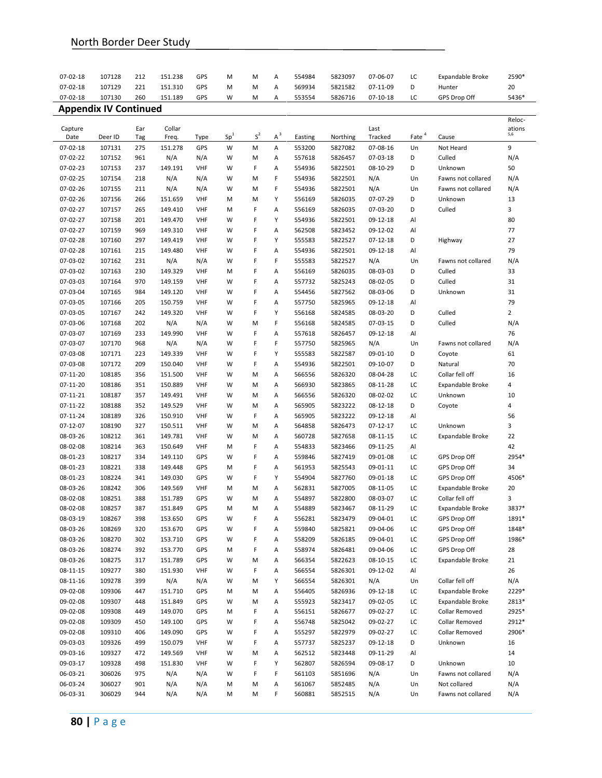| 07-02-18             | 107128                       | 212        | 151.238            | GPS                      | M               | M      | Α      | 554984           | 5823097            | 07-06-07                   | LC                | Expandable Broke        | 2590*          |
|----------------------|------------------------------|------------|--------------------|--------------------------|-----------------|--------|--------|------------------|--------------------|----------------------------|-------------------|-------------------------|----------------|
| 07-02-18             | 107129                       | 221        | 151.310            | GPS                      | M               | M      | Α      | 569934           | 5821582            | 07-11-09                   | D                 | Hunter                  | 20             |
| 07-02-18             | 107130                       | 260        | 151.189            | GPS                      | W               | М      | Α      | 553554           | 5826716            | 07-10-18                   | LC                | GPS Drop Off            | 5436*          |
|                      | <b>Appendix IV Continued</b> |            |                    |                          |                 |        |        |                  |                    |                            |                   |                         |                |
|                      |                              |            |                    |                          |                 |        |        |                  |                    |                            |                   |                         | Reloc-         |
| Capture<br>Date      | Deer ID                      | Ear<br>Tag | Collar<br>Freq.    | Type                     | Sp <sup>1</sup> | $S^2$  | $A^3$  | Easting          | Northing           | Last<br>Tracked            | Eate <sup>4</sup> | Cause                   | ations<br>5,6  |
| 07-02-18             | 107131                       | 275        | 151.278            | GPS                      | W               | M      | Α      | 553200           | 5827082            | 07-08-16                   | Un                | Not Heard               | 9              |
| 07-02-22             | 107152                       | 961        | N/A                | N/A                      | W               | M      | Α      | 557618           | 5826457            | 07-03-18                   | D                 | Culled                  | N/A            |
| 07-02-23             | 107153                       | 237        | 149.191            | <b>VHF</b>               | W               | F      | Α      | 554936           | 5822501            | 08-10-29                   | D                 | Unknown                 | 50             |
| 07-02-25             | 107154                       | 218        | N/A                | N/A                      | W               | M      | F      | 554936           | 5822501            | N/A                        | Un                | Fawns not collared      | N/A            |
| 07-02-26             | 107155                       | 211        | N/A                | N/A                      | W               | M      | F      | 554936           | 5822501            | N/A                        | Un                | Fawns not collared      | N/A            |
| 07-02-26             | 107156                       | 266        | 151.659            | <b>VHF</b>               | M               | M      | Υ      | 556169           | 5826035            | 07-07-29                   | D                 | Unknown                 | 13             |
| 07-02-27             | 107157                       | 265        | 149.410            | <b>VHF</b>               | M               | F      | А      | 556169           | 5826035            | 07-03-20                   | D                 | Culled                  | 3              |
| 07-02-27             | 107158                       | 201        | 149.470            | <b>VHF</b>               | W               | F      | Υ      | 554936           | 5822501            | 09-12-18                   | Al                |                         | 80             |
| 07-02-27             | 107159                       | 969        | 149.310            | <b>VHF</b>               | W               | F      | А      | 562508           | 5823452            | 09-12-02                   | Al                |                         | 77             |
| 07-02-28             | 107160                       | 297        | 149.419            | <b>VHF</b>               | W               | F      | Υ      | 555583           | 5822527            | $07 - 12 - 18$             | D                 | Highway                 | 27             |
| 07-02-28             | 107161                       | 215        | 149.480            | <b>VHF</b>               | W               | F      | A      | 554936           | 5822501            | 09-12-18                   | Al                |                         | 79             |
| 07-03-02             | 107162                       | 231        | N/A                | N/A                      | W               | F      | F      | 555583           | 5822527            | N/A                        | Un                | Fawns not collared      | N/A            |
| 07-03-02             | 107163                       | 230        | 149.329            | <b>VHF</b>               | M               | F      | А      | 556169           | 5826035            | 08-03-03                   | D                 | Culled                  | 33             |
| 07-03-03             | 107164                       | 970        | 149.159            | <b>VHF</b>               | W               | F      | А      | 557732           | 5825243            | 08-02-05                   | D                 | Culled                  | 31             |
| 07-03-04             | 107165                       | 984        | 149.120            | <b>VHF</b>               | W               | F      | Α      | 554456           | 5827562            | 08-03-06                   | D                 | Unknown                 | 31             |
| 07-03-05             | 107166                       | 205        | 150.759            | <b>VHF</b>               | W               | F      | Α      | 557750           | 5825965            | 09-12-18                   | Al                |                         | 79             |
| 07-03-05             | 107167                       | 242        | 149.320            | <b>VHF</b>               | W               | F      | Υ      | 556168           | 5824585            | 08-03-20                   | D                 | Culled                  | $\overline{2}$ |
| 07-03-06             | 107168                       | 202        | N/A                | N/A                      | W               | м      | F      | 556168           | 5824585            | 07-03-15                   | D                 | Culled                  | N/A            |
| 07-03-07             | 107169                       | 233        | 149.990            | <b>VHF</b>               | W               | F      | Α      | 557618           | 5826457            | 09-12-18                   | Al                |                         | 76             |
| 07-03-07             | 107170                       | 968        | N/A                | N/A                      | W               | F      | F      | 557750           | 5825965            | N/A                        | Un                | Fawns not collared      | N/A            |
| 07-03-08             | 107171                       | 223        | 149.339            | <b>VHF</b>               | W               | F      | Υ      | 555583           | 5822587            | 09-01-10                   | D                 | Coyote                  | 61             |
| 07-03-08             | 107172                       | 209        | 150.040            | <b>VHF</b>               | W               | F      | Α      | 554936           | 5822501            | 09-10-07                   | D                 | Natural                 | 70             |
| 07-11-20             | 108185                       | 356        | 151.500            | <b>VHF</b>               | W               | M      | Α      | 566556           | 5826320            | 08-04-28                   | LC                | Collar fell off         | 16             |
| 07-11-20             | 108186                       | 351        | 150.889            | <b>VHF</b>               | W               | M      | Α      | 566930           | 5823865            | $08 - 11 - 28$             | LC                | Expandable Broke        | 4              |
| 07-11-21             | 108187                       | 357        | 149.491            | <b>VHF</b>               | W               | M      | Α      | 566556           | 5826320            | 08-02-02                   | LC                | Unknown                 | 10             |
| 07-11-22             | 108188                       | 352        | 149.529            | <b>VHF</b>               | W               | M      | Α      | 565905           | 5823222            | 08-12-18                   | D                 | Coyote                  | 4              |
| 07-11-24             | 108189                       | 326        | 150.910            | <b>VHF</b>               | W               | F      | Α      | 565905           | 5823222            | 09-12-18                   | Al                |                         | 56             |
| 07-12-07             | 108190                       | 327        | 150.511            | <b>VHF</b>               | W               | M      | Α      | 564858           | 5826473            | $07 - 12 - 17$             | LC                | Unknown                 | 3              |
| 08-03-26<br>08-02-08 | 108212<br>108214             | 361<br>363 | 149.781<br>150.649 | <b>VHF</b><br><b>VHF</b> | W<br>M          | M<br>F | Α<br>А | 560728<br>554833 | 5827658<br>5823466 | $08 - 11 - 15$<br>09-11-25 | LC<br>Al          | <b>Expandable Broke</b> | 22<br>42       |
| 08-01-23             | 108217                       | 334        | 149.110            | GPS                      | W               | F      | Α      | 559846           | 5827419            | 09-01-08                   | LC                | GPS Drop Off            | 2954*          |
| 08-01-23             | 108221                       | 338        | 149.448            | GPS                      | M               | F      | Α      | 561953           | 5825543            | 09-01-11                   | LC                | GPS Drop Off            | 34             |
| 08-01-23             | 108224                       | 341        | 149.030            | GPS                      | W               | F      | Υ      | 554904           | 5827760            | 09-01-18                   | LC                | GPS Drop Off            | 4506*          |
| 08-03-26             | 108242                       | 306        | 149.569            | <b>VHF</b>               | M               | M      | Α      | 562831           | 5827005            | 08-11-05                   | LC                | Expandable Broke        | 20             |
| 08-02-08             | 108251                       | 388        | 151.789            | GPS                      | W               | м      | Α      | 554897           | 5822800            | 08-03-07                   | LC                | Collar fell off         | 3              |
| 08-02-08             | 108257                       | 387        | 151.849            | GPS                      | М               | М      | А      | 554889           | 5823467            | 08-11-29                   | LC                | Expandable Broke        | 3837*          |
| 08-03-19             | 108267                       | 398        | 153.650            | GPS                      | W               | F      | Α      | 556281           | 5823479            | 09-04-01                   | LC                | GPS Drop Off            | 1891*          |
| 08-03-26             | 108269                       | 320        | 153.670            | GPS                      | W               | F      | Α      | 559840           | 5825821            | 09-04-06                   | LC                | GPS Drop Off            | 1848*          |
| 08-03-26             | 108270                       | 302        | 153.710            | GPS                      | W               | F      | Α      | 558209           | 5826185            | 09-04-01                   | LC                | GPS Drop Off            | 1986*          |
| 08-03-26             | 108274                       | 392        | 153.770            | GPS                      | M               | F      | Α      | 558974           | 5826481            | 09-04-06                   | LC                | GPS Drop Off            | 28             |
| 08-03-26             | 108275                       | 317        | 151.789            | GPS                      | W               | М      | Α      | 566354           | 5822623            | 08-10-15                   | LC                | Expandable Broke        | 21             |
| 08-11-15             | 109277                       | 380        | 151.930            | <b>VHF</b>               | W               | F      | Α      | 566554           | 5826301            | 09-12-02                   | Al                |                         | 26             |
| 08-11-16             | 109278                       | 399        | N/A                | N/A                      | W               | М      | Υ      | 566554           | 5826301            | N/A                        | Un                | Collar fell off         | N/A            |
| 09-02-08             | 109306                       | 447        | 151.710            | GPS                      | M               | М      | Α      | 556405           | 5826936            | 09-12-18                   | LC                | Expandable Broke        | 2229*          |
| 09-02-08             | 109307                       | 448        | 151.849            | GPS                      | W               | М      | А      | 555923           | 5823417            | 09-02-05                   | LC                | Expandable Broke        | 2813*          |
| 09-02-08             | 109308                       | 449        | 149.070            | GPS                      | M               | F      | Α      | 556151           | 5826677            | 09-02-27                   | LC                | Collar Removed          | 2925*          |
| 09-02-08             | 109309                       | 450        | 149.100            | GPS                      | W               | F      | Α      | 556748           | 5825042            | 09-02-27                   | LC                | Collar Removed          | 2912*          |
| 09-02-08             | 109310                       | 406        | 149.090            | GPS                      | W               | F      | Α      | 555297           | 5822979            | 09-02-27                   | LC                | Collar Removed          | 2906*          |
| 09-03-03             | 109326                       | 499        | 150.079            | <b>VHF</b>               | W               | F      | Α      | 557737           | 5825237            | 09-12-18                   | D                 | Unknown                 | 16             |
| 09-03-16             | 109327                       | 472        | 149.569            | VHF                      | W               | М      | Α      | 562512           | 5823448            | 09-11-29                   | Al                |                         | 14             |
| 09-03-17             | 109328                       | 498        | 151.830            | <b>VHF</b>               | W               | F      | Υ      | 562807           | 5826594            | 09-08-17                   | D                 | Unknown                 | 10             |
| 06-03-21             | 306026                       | 975        | N/A                | N/A                      | W               | F      | F      | 561103           | 5851696            | N/A                        | Un                | Fawns not collared      | N/A            |
| 06-03-24             | 306027                       | 901        | N/A                | N/A                      | M               | М      | Α      | 561067           | 5852485            | N/A                        | Un                | Not collared            | N/A            |
| 06-03-31             | 306029                       | 944        | N/A                | N/A                      | М               | М      | F      | 560881           | 5852515            | N/A                        | Un                | Fawns not collared      | N/A            |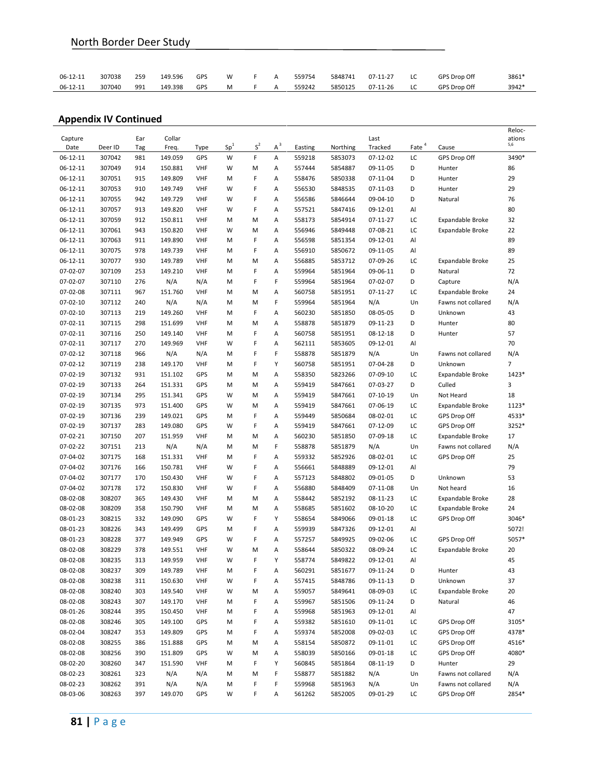| 06-12-11 | 307038 | 259 | 149.596 | GPS | W              | A | 559754 | 5848741 | $07 - 11 - 27$ | LC | GPS Drop Off | 3861* |
|----------|--------|-----|---------|-----|----------------|---|--------|---------|----------------|----|--------------|-------|
| 06-12-11 | 307040 | 991 | 149.398 | GPS | M <sub>2</sub> | A | 559242 | 5850125 | 07-11-26       | LC | GPS Drop Off | 3942* |

|                |         |     |         |            |                 |                |       |         |          |                |                   |                         | Reloc-         |
|----------------|---------|-----|---------|------------|-----------------|----------------|-------|---------|----------|----------------|-------------------|-------------------------|----------------|
| Capture        |         | Ear | Collar  |            | Sp <sup>1</sup> | $\textsf{S}^2$ | $A^3$ |         |          | Last           |                   |                         | ations<br>5,6  |
| Date           | Deer ID | Tag | Freq.   | Type       |                 |                |       | Easting | Northing | Tracked        | Eate <sup>4</sup> | Cause                   |                |
| 06-12-11       | 307042  | 981 | 149.059 | GPS        | W               | F              | Α     | 559218  | 5853073  | 07-12-02       | LC                | GPS Drop Off            | 3490*          |
| $06 - 12 - 11$ | 307049  | 914 | 150.881 | VHF        | W               | М              | Α     | 557444  | 5854887  | 09-11-05       | D                 | Hunter                  | 86             |
| $06 - 12 - 11$ | 307051  | 915 | 149.809 | VHF        | M               | F              | Α     | 558476  | 5850338  | 07-11-04       | D                 | Hunter                  | 29             |
| $06 - 12 - 11$ | 307053  | 910 | 149.749 | <b>VHF</b> | W               | F              | Α     | 556530  | 5848535  | $07-11-03$     | D                 | Hunter                  | 29             |
| 06-12-11       | 307055  | 942 | 149.729 | VHF        | W               | F              | Α     | 556586  | 5846644  | 09-04-10       | D                 | Natural                 | 76             |
| $06 - 12 - 11$ | 307057  | 913 | 149.820 | VHF        | W               | F              | Α     | 557521  | 5847416  | 09-12-01       | Al                |                         | 80             |
| $06 - 12 - 11$ | 307059  | 912 | 150.811 | <b>VHF</b> | M               | M              | Α     | 558173  | 5854914  | $07 - 11 - 27$ | LC                | Expandable Broke        | 32             |
| 06-12-11       | 307061  | 943 | 150.820 | <b>VHF</b> | W               | M              | Α     | 556946  | 5849448  | 07-08-21       | LC                | Expandable Broke        | 22             |
| 06-12-11       | 307063  | 911 | 149.890 | <b>VHF</b> | M               | F              | Α     | 556598  | 5851354  | 09-12-01       | Al                |                         | 89             |
| $06 - 12 - 11$ | 307075  | 978 | 149.739 | VHF        | M               | F              | Α     | 556910  | 5850672  | 09-11-05       | Al                |                         | 89             |
| $06 - 12 - 11$ | 307077  | 930 | 149.789 | <b>VHF</b> | М               | M              | Α     | 556885  | 5853712  | 07-09-26       | LC                | Expandable Broke        | 25             |
| $07 - 02 - 07$ | 307109  | 253 | 149.210 | <b>VHF</b> | M               | F              | Α     | 559964  | 5851964  | 09-06-11       | D                 | Natural                 | 72             |
| 07-02-07       | 307110  | 276 | N/A     | N/A        | M               | F              | F     | 559964  | 5851964  | 07-02-07       | D                 | Capture                 | N/A            |
| 07-02-08       | 307111  | 967 | 151.760 | VHF        | М               | M              | Α     | 560758  | 5851951  | $07 - 11 - 27$ | LC                | Expandable Broke        | 24             |
| $07 - 02 - 10$ | 307112  | 240 | N/A     | N/A        | М               | M              | F     | 559964  | 5851964  | N/A            | Un                | Fawns not collared      | N/A            |
| $07 - 02 - 10$ | 307113  | 219 | 149.260 | <b>VHF</b> | М               | F              | Α     | 560230  | 5851850  | 08-05-05       | D                 | Unknown                 | 43             |
| 07-02-11       | 307115  | 298 | 151.699 | VHF        | M               | M              | Α     | 558878  | 5851879  | 09-11-23       | D                 | Hunter                  | 80             |
| $07 - 02 - 11$ | 307116  | 250 | 149.140 | VHF        | М               | F              | Α     | 560758  | 5851951  | $08 - 12 - 18$ | D                 | Hunter                  | 57             |
| $07 - 02 - 11$ | 307117  | 270 | 149.969 | <b>VHF</b> | W               | F              | Α     | 562111  | 5853605  | 09-12-01       | Al                |                         | 70             |
| $07 - 02 - 12$ | 307118  | 966 | N/A     | N/A        | M               | F              | F     | 558878  | 5851879  | N/A            | Un                | Fawns not collared      | N/A            |
| 07-02-12       | 307119  | 238 | 149.170 | <b>VHF</b> | M               | F              | Υ     | 560758  | 5851951  | 07-04-28       | D                 | Unknown                 | $\overline{7}$ |
| $07 - 02 - 19$ | 307132  | 931 | 151.102 | GPS        | M               | M              | Α     | 558350  | 5823266  | 07-09-10       | LC                | Expandable Broke        | 1423*          |
| 07-02-19       | 307133  | 264 | 151.331 | GPS        | М               | M              | Α     | 559419  | 5847661  | 07-03-27       | D                 | Culled                  | 3              |
| $07 - 02 - 19$ | 307134  | 295 | 151.341 | GPS        | W               | M              | Α     | 559419  | 5847661  | $07 - 10 - 19$ | Un                | Not Heard               | 18             |
| $07 - 02 - 19$ | 307135  | 973 | 151.400 | GPS        | W               | M              | Α     | 559419  | 5847661  | 07-06-19       | LC                | <b>Expandable Broke</b> | 1123*          |
| $07 - 02 - 19$ | 307136  | 239 | 149.021 | GPS        | M               | F              | Α     | 559449  | 5850684  | 08-02-01       | LC                | GPS Drop Off            | 4533*          |
| 07-02-19       | 307137  | 283 | 149.080 | GPS        | W               | F              | Α     | 559419  | 5847661  | 07-12-09       | LC                | GPS Drop Off            | 3252*          |
| 07-02-21       | 307150  | 207 | 151.959 | <b>VHF</b> | М               | M              | Α     | 560230  | 5851850  | 07-09-18       | LC                | Expandable Broke        | 17             |
| 07-02-22       | 307151  | 213 | N/A     | N/A        | M               | M              | F     | 558878  | 5851879  | N/A            | Un                | Fawns not collared      | N/A            |
| 07-04-02       | 307175  | 168 | 151.331 | VHF        | M               | F              | Α     | 559332  | 5852926  | 08-02-01       | LC                | GPS Drop Off            | 25             |
| 07-04-02       | 307176  | 166 | 150.781 | <b>VHF</b> | W               | F              | Α     | 556661  | 5848889  | 09-12-01       | Al                |                         | 79             |
| 07-04-02       | 307177  | 170 | 150.430 | <b>VHF</b> | W               | F              | Α     | 557123  | 5848802  | 09-01-05       | D                 | Unknown                 | 53             |
| 07-04-02       | 307178  | 172 | 150.830 | VHF        | W               | F              | Α     | 556880  | 5848409  | 07-11-08       | Un                | Not heard               | 16             |
| 08-02-08       | 308207  | 365 | 149.430 | VHF        | M               | M              | Α     | 558442  | 5852192  | 08-11-23       | LC                | Expandable Broke        | 28             |
| 08-02-08       | 308209  | 358 | 150.790 | <b>VHF</b> | M               | M              | Α     | 558685  | 5851602  | 08-10-20       | LC                | Expandable Broke        | 24             |
| 08-01-23       | 308215  | 332 | 149.090 | GPS        | W               | F              | Υ     | 558654  | 5849066  | 09-01-18       | LC                | GPS Drop Off            | 3046*          |
| 08-01-23       | 308226  | 343 | 149.499 | GPS        | M               | F              | Α     | 559939  | 5847326  | 09-12-01       | Al                |                         | 5072!          |
| 08-01-23       | 308228  | 377 | 149.949 | GPS        | W               | F              | Α     | 557257  | 5849925  | 09-02-06       | LC                | GPS Drop Off            | 5057*          |
| 08-02-08       | 308229  | 378 | 149.551 | <b>VHF</b> | W               | M              | Α     | 558644  | 5850322  | 08-09-24       | LC                | Expandable Broke        | 20             |
| 08-02-08       | 308235  | 313 | 149.959 | <b>VHF</b> | W               | F              | Υ     | 558774  | 5849822  | 09-12-01       | Al                |                         | 45             |
| 08-02-08       | 308237  | 309 | 149.789 | <b>VHF</b> | M               | F              | A     | 560291  | 5851677  | 09-11-24       | D                 | Hunter                  | 43             |
| 08-02-08       | 308238  | 311 | 150.630 | VHF        | W               | F              | Α     | 557415  | 5848786  | 09-11-13       | D                 | Unknown                 | 37             |
| 08-02-08       | 308240  | 303 | 149.540 | VHF        | W               | M              | Α     | 559057  | 5849641  | 08-09-03       | LC                | Expandable Broke        | 20             |
| 08-02-08       | 308243  | 307 | 149.170 | VHF        | М               | F              | Α     | 559967  | 5851506  | 09-11-24       | D                 | Natural                 | 46             |
| 08-01-26       | 308244  | 395 | 150.450 | VHF        | M               | F              | Α     | 559968  | 5851963  | 09-12-01       | Al                |                         | 47             |
| 08-02-08       | 308246  | 305 | 149.100 | GPS        | М               | F              | Α     | 559382  | 5851610  | 09-11-01       | LC                | GPS Drop Off            | 3105*          |
| 08-02-04       | 308247  | 353 | 149.809 | GPS        | M               | F              | А     | 559374  | 5852008  | 09-02-03       | LC                | GPS Drop Off            | 4378*          |
| 08-02-08       | 308255  | 386 | 151.888 | GPS        | Μ               | M              | Α     | 558154  | 5850872  | 09-11-01       | LC                | GPS Drop Off            | 4516*          |
| 08-02-08       | 308256  | 390 | 151.809 | GPS        | W               | M              | Α     | 558039  | 5850166  | 09-01-18       | LC                | GPS Drop Off            | 4080*          |
| 08-02-20       | 308260  | 347 | 151.590 | VHF        | M               | F              | Υ     | 560845  | 5851864  | 08-11-19       | D                 | Hunter                  | 29             |
| 08-02-23       | 308261  | 323 | N/A     | N/A        | M               | M              | F     | 558877  | 5851882  | N/A            | Un                | Fawns not collared      | N/A            |
| 08-02-23       | 308262  | 391 | N/A     | N/A        | M               | F              | F     | 559968  | 5851963  | N/A            | Un                | Fawns not collared      | N/A            |
| 08-03-06       | 308263  | 397 | 149.070 | GPS        | W               | F              | Α     | 561262  | 5852005  | 09-01-29       | LC                | GPS Drop Off            | 2854*          |
|                |         |     |         |            |                 |                |       |         |          |                |                   |                         |                |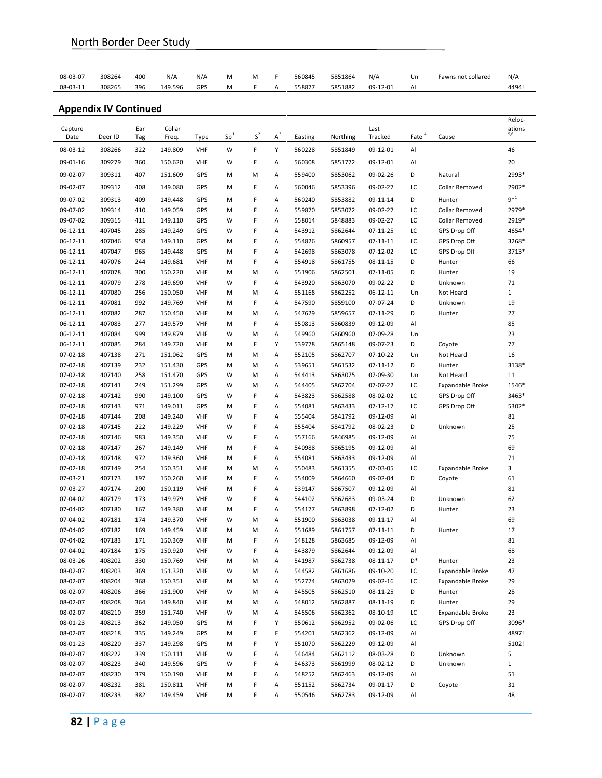| 08-03-07 | 308264 | 400 | N/A     | N/A | М |              | 560845 | 5851864 | N/A      | Un | Fawns not collared | N/A  |
|----------|--------|-----|---------|-----|---|--------------|--------|---------|----------|----|--------------------|------|
| 08-03-11 | 308265 | 396 | 149.596 | GPS | M | $\mathsf{A}$ | 558877 | 5851882 | 09-12-01 | Al |                    | 4494 |

|                                  |                  |            |                    |                          |                 |                |        |                  |                    |                      |                   |                       | Reloc-             |
|----------------------------------|------------------|------------|--------------------|--------------------------|-----------------|----------------|--------|------------------|--------------------|----------------------|-------------------|-----------------------|--------------------|
| Capture<br>Date                  | Deer ID          | Ear<br>Tag | Collar<br>Freq.    | Type                     | Sp <sup>1</sup> | $\textsf{S}^2$ | $A^3$  | Easting          | Northing           | Last<br>Tracked      | Eate <sup>4</sup> | Cause                 | ations<br>5,6      |
| 08-03-12                         | 308266           | 322        | 149.809            | VHF                      | W               | F              | Y      | 560228           | 5851849            | 09-12-01             | Al                |                       | 46                 |
| 09-01-16                         | 309279           | 360        | 150.620            | <b>VHF</b>               | W               | F              | Α      | 560308           | 5851772            | 09-12-01             | Al                |                       | 20                 |
| 09-02-07                         | 309311           | 407        | 151.609            | GPS                      | M               | M              | А      | 559400           | 5853062            | 09-02-26             | D                 | Natural               | 2993*              |
| 09-02-07                         | 309312           | 408        | 149.080            | GPS                      | M               | F              | А      | 560046           | 5853396            | 09-02-27             | LC                | Collar Removed        | 2902*              |
| 09-07-02                         | 309313           | 409        | 149.448            | GPS                      | M               | F              | Α      | 560240           |                    | 09-11-14             | D                 | Hunter                | $9^{\ast1}$        |
| 09-07-02                         | 309314           | 410        | 149.059            | GPS                      | M               | F              | Α      | 559870           | 5853882<br>5853072 | 09-02-27             | LC                | Collar Removed        | 2979*              |
| 09-07-02                         | 309315           | 411        | 149.110            | GPS                      | W               | F              | Α      | 558014           | 5848883            | 09-02-27             | LC                | <b>Collar Removed</b> | 2919*              |
| $06 - 12 - 11$                   | 407045           | 285        | 149.249            | GPS                      | W               | F              | Α      | 543912           | 5862644            | 07-11-25             | LC                | GPS Drop Off          | 4654*              |
| $06 - 12 - 11$                   | 407046           | 958        | 149.110            | GPS                      | M               | F              | Α      | 554826           | 5860957            | 07-11-11             | LC                | GPS Drop Off          | 3268*              |
| 06-12-11                         | 407047           | 965        | 149.448            | GPS                      | M               | F              | Α      | 542698           | 5863078            | 07-12-02             | LC                | GPS Drop Off          | 3713*              |
| $06 - 12 - 11$                   | 407076           | 244        | 149.681            | <b>VHF</b>               | M               | F              | Α      | 554918           | 5861755            | 08-11-15             | D                 | Hunter                | 66                 |
| 06-12-11                         | 407078           | 300        | 150.220            | <b>VHF</b>               | M               | M              | Α      | 551906           | 5862501            | 07-11-05             | D                 | Hunter                | 19                 |
| $06 - 12 - 11$                   | 407079           | 278        | 149.690            | <b>VHF</b>               | W               | F              | Α      | 543920           | 5863070            | 09-02-22             | D                 | Unknown               | 71                 |
| 06-12-11                         | 407080           | 256        | 150.050            | <b>VHF</b>               | M               | M              | Α      | 551168           | 5862252            | 06-12-11             | Un                | Not Heard             | $\mathbf{1}$       |
| $06 - 12 - 11$                   | 407081           | 992        | 149.769            | <b>VHF</b>               | M               | F              | Α      | 547590           | 5859100            | 07-07-24             | D                 | Unknown               | 19                 |
| $06 - 12 - 11$                   | 407082           | 287        | 150.450            | <b>VHF</b>               | M               | M              | Α      | 547629           | 5859657            | 07-11-29             | D                 | Hunter                | 27                 |
| $06 - 12 - 11$                   | 407083           | 277        | 149.579            | <b>VHF</b>               | M               | F              | Α      | 550813           | 5860839            | 09-12-09             | Al                |                       | 85                 |
| $06 - 12 - 11$                   | 407084           | 999        | 149.879            | <b>VHF</b>               | W               | M              | Α      | 549960           | 5860960            | 07-09-28             | Un                |                       | 23                 |
| 06-12-11                         | 407085           | 284        | 149.720            | <b>VHF</b>               | M               | F              | Y      | 539778           | 5865148            | 09-07-23             | D                 | Coyote                | 77                 |
| $07 - 02 - 18$                   | 407138           | 271        | 151.062            | GPS                      | M               | м              | Α      | 552105           | 5862707            | $07 - 10 - 22$       | Un                | Not Heard             | 16                 |
| $07 - 02 - 18$                   | 407139           | 232        | 151.430            | GPS                      | M               | м              | Α      | 539651           | 5861532            | 07-11-12             | D                 | Hunter                | 3138*              |
| $07 - 02 - 18$                   | 407140           | 258        | 151.470            | GPS                      | W               | м              | Α      | 544413           | 5863075            | 07-09-30             | Un                | Not Heard             | 11                 |
| 07-02-18                         | 407141           | 249        | 151.299            | GPS                      | W               | м              | Α      | 544405           | 5862704            | 07-07-22             | LC                | Expandable Broke      | 1546*              |
| $07 - 02 - 18$                   | 407142           | 990        | 149.100            | GPS                      | W               | F              | Α      | 543823           | 5862588            | 08-02-02             | LC                | GPS Drop Off          | 3463*              |
| $07 - 02 - 18$                   | 407143           | 971        | 149.011            | GPS                      | M               | F              | Α      | 554081           | 5863433            | $07 - 12 - 17$       | LC                | GPS Drop Off          | 5302*              |
| $07 - 02 - 18$                   | 407144           | 208        | 149.240            | <b>VHF</b>               | W               | F              | Α      | 555404           | 5841792            | 09-12-09             | Al                |                       | 81                 |
| 07-02-18                         | 407145           | 222        | 149.229            | <b>VHF</b>               | W               | F<br>F         | Α      | 555404           | 5841792            | 08-02-23             | D                 | Unknown               | 25<br>75           |
| $07 - 02 - 18$<br>$07 - 02 - 18$ | 407146<br>407147 | 983<br>267 | 149.350<br>149.149 | <b>VHF</b><br><b>VHF</b> | W               | F              | A<br>Α | 557166<br>540988 | 5846985            | 09-12-09             | Al                |                       | 69                 |
| $07 - 02 - 18$                   | 407148           | 972        | 149.360            | <b>VHF</b>               | M<br>M          | F              | Α      | 554081           | 5865195<br>5863433 | 09-12-09<br>09-12-09 | Al<br>Al          |                       | 71                 |
| 07-02-18                         | 407149           | 254        | 150.351            | <b>VHF</b>               | M               | м              | Α      | 550483           | 5861355            | 07-03-05             | LC                | Expandable Broke      | 3                  |
| 07-03-21                         | 407173           | 197        | 150.260            | <b>VHF</b>               | M               | F              | Α      | 554009           | 5864660            | 09-02-04             | D                 | Coyote                | 61                 |
| 07-03-27                         | 407174           | 200        | 150.119            | <b>VHF</b>               | M               | F              | Α      | 539147           | 5867507            | 09-12-09             | Al                |                       | 81                 |
| 07-04-02                         | 407179           | 173        | 149.979            | <b>VHF</b>               | W               | F              | Α      | 544102           | 5862683            | 09-03-24             | D                 | Unknown               | 62                 |
| 07-04-02                         | 407180           | 167        | 149.380            | <b>VHF</b>               | M               | F              | Α      | 554177           | 5863898            | 07-12-02             | D                 | Hunter                | 23                 |
| 07-04-02                         | 407181           | 174        | 149.370            | <b>VHF</b>               | W               | M              | Α      | 551900           | 5863038            | 09-11-17             | Al                |                       | 69                 |
| 07-04-02                         | 407182           | 169        | 149.459            | <b>VHF</b>               | M               | м              | А      | 551689           | 5861757            | 07-11-11             | D                 | Hunter                | 17                 |
| 07-04-02                         | 407183           | 171        | 150.369            | <b>VHF</b>               | M               | F              | Α      | 548128           | 5863685            | 09-12-09             | Al                |                       | 81                 |
| 07-04-02                         | 407184           | 175        | 150.920            | <b>VHF</b>               | W               | F              | A      | 543879           | 5862644            | 09-12-09             | Al                |                       | 68                 |
| 08-03-26                         | 408202           | 330        | 150.769            | VHF                      | M               | М              | Α      | 541987           | 5862738            | $08 - 11 - 17$       | D*                | Hunter                | 23                 |
| 08-02-07                         | 408203           | 369        | 151.320            | <b>VHF</b>               | W               | М              | А      | 544582           | 5861686            | 09-10-20             | LC                | Expandable Broke      | 47                 |
| 08-02-07                         | 408204           | 368        | 150.351            | <b>VHF</b>               | M               | М              | Α      | 552774           | 5863029            | 09-02-16             | LC                | Expandable Broke      | 29                 |
| 08-02-07                         | 408206           | 366        | 151.900            | <b>VHF</b>               | W               | М              | Α      | 545505           | 5862510            | 08-11-25             | D                 | Hunter                | 28                 |
| 08-02-07                         | 408208           | 364        | 149.840            | <b>VHF</b>               | M               | М              | Α      | 548012           | 5862887            | 08-11-19             | D                 | Hunter                | 29                 |
| 08-02-07                         | 408210           | 359        | 151.740            | <b>VHF</b>               | W               | М              | Α      | 545506           | 5862362            | 08-10-19             | LC                | Expandable Broke      | 23                 |
| 08-01-23                         | 408213           | 362        | 149.050            | GPS                      | M               | F              | Υ      | 550612           | 5862952            | 09-02-06             | LC                | GPS Drop Off          | 3096*              |
| 08-02-07                         | 408218           | 335        | 149.249            | GPS                      | M               | F              | F      | 554201           | 5862362            | 09-12-09             | Al                |                       | 4897!              |
| 08-01-23                         | 408220           | 337        | 149.298            | GPS                      | M               | F              | Υ      | 551070           | 5862229            | 09-12-09             | Al                |                       | 5102!              |
| 08-02-07                         | 408222           | 339        | 150.111            | <b>VHF</b>               | W               | F<br>F         | Α      | 546484           | 5862112            | 08-03-28             | D                 | Unknown               | 5                  |
| 08-02-07<br>08-02-07             | 408223<br>408230 | 340<br>379 | 149.596<br>150.190 | GPS<br><b>VHF</b>        | W<br>M          | F              | Α<br>А | 546373<br>548252 | 5861999<br>5862463 | 08-02-12<br>09-12-09 | D<br>Al           | Unknown               | $\mathbf{1}$<br>51 |
| 08-02-07                         | 408232           | 381        | 150.811            | <b>VHF</b>               | M               | F              | А      | 551152           | 5862734            | 09-01-17             | D                 | Coyote                | 31                 |
| 08-02-07                         | 408233           | 382        | 149.459            | VHF                      | M               | F              | Α      | 550546           | 5862783            | 09-12-09             | Al                |                       | 48                 |
|                                  |                  |            |                    |                          |                 |                |        |                  |                    |                      |                   |                       |                    |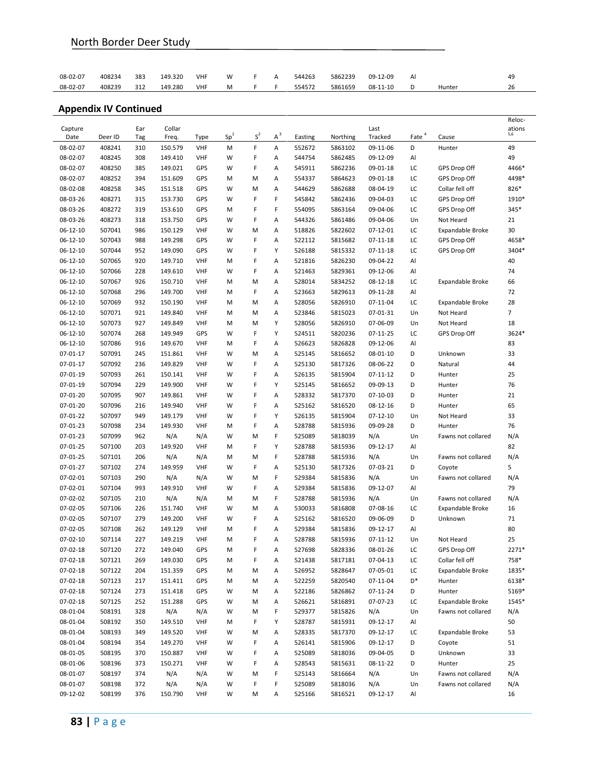| 08-02-07 | 408234 | 383 | 149.320 | <b>VHF</b> | W | А | 544263 | 5862239 | 09-12-09   | Al |        | 49 |
|----------|--------|-----|---------|------------|---|---|--------|---------|------------|----|--------|----|
| 08-02-07 | 408239 | 312 | 149.280 | <b>VHF</b> | M |   | 554572 | 5861659 | $08-11-10$ |    | Hunter | 26 |

|                |         |     |         |            |                 |       |       |         |          |                |                   |                    | Reloc-         |
|----------------|---------|-----|---------|------------|-----------------|-------|-------|---------|----------|----------------|-------------------|--------------------|----------------|
| Capture        |         | Ear | Collar  |            | Sp <sup>1</sup> | $S^2$ | $A^3$ |         |          | Last           | Eate <sup>4</sup> |                    | ations<br>5,6  |
| Date           | Deer ID | Tag | Freq.   | Type       |                 |       |       | Easting | Northing | Tracked        |                   | Cause              |                |
| 08-02-07       | 408241  | 310 | 150.579 | <b>VHF</b> | M               | F     | Α     | 552672  | 5863102  | 09-11-06       | D                 | Hunter             | 49             |
| 08-02-07       | 408245  | 308 | 149.410 | <b>VHF</b> | W               | F     | Α     | 544754  | 5862485  | 09-12-09       | Al                |                    | 49             |
| 08-02-07       | 408250  | 385 | 149.021 | GPS        | W               | F     | Α     | 545911  | 5862236  | $09 - 01 - 18$ | LC                | GPS Drop Off       | 4466*          |
| 08-02-07       | 408252  | 394 | 151.609 | GPS        | М               | м     | Α     | 554337  | 5864623  | 09-01-18       | LC                | GPS Drop Off       | 4498*          |
| 08-02-08       | 408258  | 345 | 151.518 | GPS        | W               | м     | Α     | 544629  | 5862688  | 08-04-19       | LC                | Collar fell off    | 826*           |
| 08-03-26       | 408271  | 315 | 153.730 | GPS        | W               | F     | F     | 545842  | 5862436  | 09-04-03       | LC                | GPS Drop Off       | 1910*          |
| 08-03-26       | 408272  | 319 | 153.610 | GPS        | м               | F     | F     | 554095  | 5863164  | 09-04-06       | LC                | GPS Drop Off       | 345*           |
| 08-03-26       | 408273  | 318 | 153.750 | GPS        | W               | F     | Α     | 544326  | 5861486  | 09-04-06       | Un                | Not Heard          | 21             |
| $06 - 12 - 10$ | 507041  | 986 | 150.129 | <b>VHF</b> | W               | м     | Α     | 518826  | 5822602  | $07 - 12 - 01$ | LC                | Expandable Broke   | 30             |
| 06-12-10       | 507043  | 988 | 149.298 | GPS        | W               | F     | Α     | 522112  | 5815682  | $07 - 11 - 18$ | LC                | GPS Drop Off       | 4658*          |
| 06-12-10       | 507044  | 952 | 149.090 | GPS        | W               | F     | Υ     | 526188  | 5815332  | $07 - 11 - 18$ | LC                | GPS Drop Off       | 3404*          |
| 06-12-10       | 507065  | 920 | 149.710 | <b>VHF</b> | М               | F     | Α     | 521816  | 5826230  | 09-04-22       | Al                |                    | 40             |
| 06-12-10       | 507066  | 228 | 149.610 | <b>VHF</b> | W               | F     | Α     | 521463  | 5829361  | 09-12-06       | Al                |                    | 74             |
| 06-12-10       | 507067  | 926 | 150.710 | <b>VHF</b> | М               | M     | Α     | 528014  | 5834252  | 08-12-18       | LC                | Expandable Broke   | 66             |
| $06 - 12 - 10$ | 507068  | 296 | 149.700 | <b>VHF</b> | M               | F     | Α     | 523663  | 5829613  | 09-11-28       | Al                |                    | 72             |
| 06-12-10       | 507069  | 932 | 150.190 | <b>VHF</b> | М               | M     | Α     | 528056  | 5826910  | 07-11-04       | LC                | Expandable Broke   | 28             |
| 06-12-10       | 507071  | 921 | 149.840 | <b>VHF</b> | м               | м     | Α     | 523846  | 5815023  | 07-01-31       | Un                | Not Heard          | $\overline{7}$ |
| 06-12-10       | 507073  | 927 | 149.849 | <b>VHF</b> | м               | м     | Υ     | 528056  | 5826910  | 07-06-09       | Un                | Not Heard          | 18             |
| 06-12-10       | 507074  | 268 | 149.949 | GPS        | W               | F     | Υ     | 524511  | 5820236  | $07 - 11 - 25$ | LC                | GPS Drop Off       | 3624*          |
| 06-12-10       | 507086  | 916 | 149.670 | <b>VHF</b> | М               | F     | Α     | 526623  | 5826828  | 09-12-06       | Al                |                    | 83             |
| $07 - 01 - 17$ | 507091  | 245 | 151.861 | <b>VHF</b> | W               | м     | Α     | 525145  | 5816652  | $08 - 01 - 10$ | D                 | Unknown            | 33             |
| 07-01-17       | 507092  | 236 | 149.829 | <b>VHF</b> | W               | F     | Α     | 525130  | 5817326  | 08-06-22       | D                 | Natural            | 44             |
| 07-01-19       | 507093  | 261 | 150.141 | <b>VHF</b> | W               | F     | Α     | 526135  | 5815904  | $07 - 11 - 12$ | D                 | Hunter             | 25             |
| 07-01-19       | 507094  | 229 | 149.900 | <b>VHF</b> | W               | F     | Υ     | 525145  | 5816652  | 09-09-13       | D                 | Hunter             | 76             |
| 07-01-20       | 507095  | 907 | 149.861 | VHF        | W               | F     | Α     | 528332  | 5817370  | $07 - 10 - 03$ | D                 | Hunter             | 21             |
| 07-01-20       | 507096  | 216 | 149.940 | <b>VHF</b> | W               | F     | Α     | 525162  | 5816520  | $08 - 12 - 16$ | D                 | Hunter             | 65             |
| 07-01-22       | 507097  | 949 | 149.179 | <b>VHF</b> | W               | F     | Υ     | 526135  | 5815904  | $07 - 12 - 10$ | Un                | Not Heard          | 33             |
| 07-01-23       | 507098  | 234 | 149.930 | <b>VHF</b> | М               | F     | Α     | 528788  | 5815936  | 09-09-28       | D                 | Hunter             | 76             |
| $07 - 01 - 23$ | 507099  | 962 | N/A     | N/A        | W               | M     | F     | 525089  | 5818039  | N/A            | Un                | Fawns not collared | N/A            |
| 07-01-25       | 507100  | 203 | 149.920 | <b>VHF</b> | М               | F     | Υ     | 528788  | 5815936  | 09-12-17       | Al                |                    | 82             |
| 07-01-25       | 507101  | 206 | N/A     | N/A        | м               | м     | F     | 528788  | 5815936  | N/A            | Un                | Fawns not collared | N/A            |
| 07-01-27       | 507102  | 274 | 149.959 | <b>VHF</b> | W               | F     | Α     | 525130  | 5817326  | 07-03-21       | D                 | Coyote             | 5              |
| 07-02-01       | 507103  | 290 | N/A     | N/A        | W               | м     | F     | 529384  | 5815836  | N/A            | Un                | Fawns not collared | N/A            |
| 07-02-01       | 507104  | 993 | 149.910 | <b>VHF</b> | W               | F     | Α     | 529384  | 5815836  | 09-12-07       | Al                |                    | 79             |
| 07-02-02       | 507105  | 210 | N/A     | N/A        | м               | м     | F     | 528788  | 5815936  | N/A            | Un                | Fawns not collared | N/A            |
| 07-02-05       | 507106  | 226 | 151.740 | <b>VHF</b> | W               | M     | Α     | 530033  | 5816808  | 07-08-16       | LC                | Expandable Broke   | 16             |
| 07-02-05       | 507107  | 279 | 149.200 | <b>VHF</b> | W               | F     | А     | 525162  | 5816520  | 09-06-09       | D                 | Unknown            | 71             |
| 07-02-05       | 507108  | 262 | 149.129 | <b>VHF</b> | М               | F     | Α     | 529384  | 5815836  | 09-12-17       | Al                |                    | 80             |
| 07-02-10       | 507114  | 227 | 149.219 | <b>VHF</b> | м               | F     | Α     | 528788  | 5815936  | 07-11-12       | Un                | Not Heard          | 25             |
| 07-02-18       | 507120  | 272 | 149.040 | GPS        | м               | F     | Α     | 527698  | 5828336  | 08-01-26       | LC                | GPS Drop Off       | 2271*          |
| 07-02-18       | 507121  | 269 | 149.030 | GPS        | М               | F     | Α     | 521438  | 5817181  | 07-04-13       | ГC                | Collar fell off    | 758*           |
| 07-02-18       | 507122  | 204 | 151.359 | GPS        | М               | М     | Α     | 526952  | 5828647  | 07-05-01       | ГC                | Expandable Broke   | 1835*          |
|                |         |     |         | GPS        | М               |       |       | 522259  | 5820540  | 07-11-04       | D*                |                    | 6138*          |
| 07-02-18       | 507123  | 217 | 151.411 |            |                 | М     | Α     |         |          |                |                   | Hunter             |                |
| 07-02-18       | 507124  | 273 | 151.418 | GPS        | w               | М     | Α     | 522186  | 5826862  | 07-11-24       | D                 | Hunter             | 5169*          |
| 07-02-18       | 507125  | 252 | 151.288 | GPS        | W               | М     | Α     | 526621  | 5816891  | 07-07-23       | LC                | Expandable Broke   | 1545*          |
| 08-01-04       | 508191  | 328 | N/A     | N/A        | W               | М     | F     | 529377  | 5815826  | N/A            | Un                | Fawns not collared | N/A            |
| 08-01-04       | 508192  | 350 | 149.510 | VHF        | М               | F     | Υ     | 528787  | 5815931  | 09-12-17       | Al                |                    | 50             |
| 08-01-04       | 508193  | 349 | 149.520 | <b>VHF</b> | W               | М     | Α     | 528335  | 5817370  | 09-12-17       | LC                | Expandable Broke   | 53             |
| 08-01-04       | 508194  | 354 | 149.270 | VHF        | W               | F     | Α     | 526141  | 5815906  | 09-12-17       | D                 | Coyote             | 51             |
| 08-01-05       | 508195  | 370 | 150.887 | VHF        | W               | F     | Α     | 525089  | 5818036  | 09-04-05       | D                 | Unknown            | 33             |
| 08-01-06       | 508196  | 373 | 150.271 | <b>VHF</b> | W               | F     | Α     | 528543  | 5815631  | 08-11-22       | D                 | Hunter             | 25             |
| 08-01-07       | 508197  | 374 | N/A     | N/A        | W               | М     | F     | 525143  | 5816664  | N/A            | Un                | Fawns not collared | N/A            |
| 08-01-07       | 508198  | 372 | N/A     | N/A        | W               | F     | F     | 525089  | 5818036  | N/A            | Un                | Fawns not collared | N/A            |
| 09-12-02       | 508199  | 376 | 150.790 | VHF        | W               | М     | А     | 525166  | 5816521  | 09-12-17       | Al                |                    | 16             |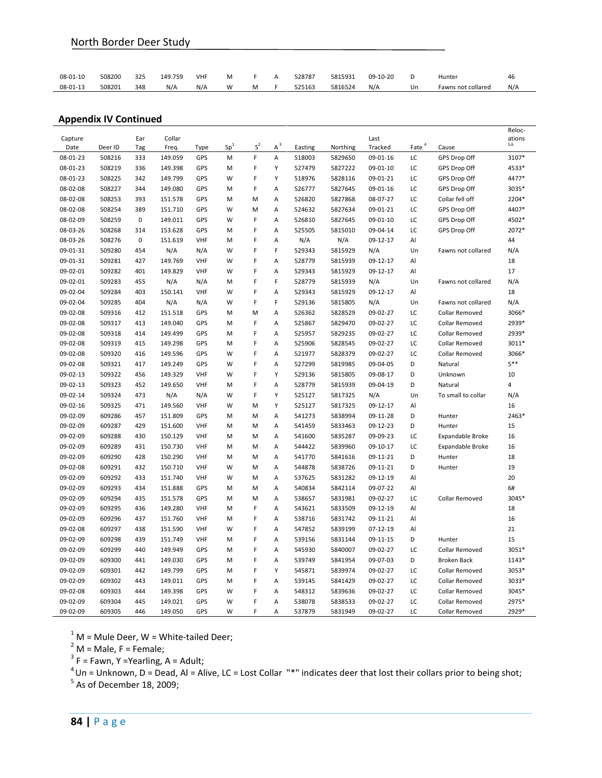| $08 - 01 - 10$ | 508200 | 325 | 149.759 | <b>VHF</b> | M |  | 528787 | 5815931 | 09-10-20 |    | Hunter             | 46  |
|----------------|--------|-----|---------|------------|---|--|--------|---------|----------|----|--------------------|-----|
| 08-01-13       | 508201 | 348 | N/A     | $N/\rho$   | W |  | 525163 | 5816524 | N/A      | Un | Fawns not collared | N/A |

| Capture  |         | Ear | Collar  |            |        |                             |       |         |          | Last           |                   |                       | Reloc-<br>ations |
|----------|---------|-----|---------|------------|--------|-----------------------------|-------|---------|----------|----------------|-------------------|-----------------------|------------------|
| Date     | Deer ID | Tag | Freq.   | Type       | $Sp^1$ | $\boldsymbol{\mathsf{S}}^2$ | $A^3$ | Easting | Northing | Tracked        | Eate <sup>4</sup> | Cause                 | 5,6              |
| 08-01-23 | 508216  | 333 | 149.059 | GPS        | M      | F                           | А     | 518003  | 5829650  | 09-01-16       | LC                | GPS Drop Off          | 3107*            |
| 08-01-23 | 508219  | 336 | 149.398 | GPS        | М      | F                           | Υ     | 527479  | 5827222  | 09-01-10       | LC                | GPS Drop Off          | 4533*            |
| 08-01-23 | 508225  | 342 | 149.799 | GPS        | W      | F                           | Υ     | 518976  | 5828116  | 09-01-21       | LC                | GPS Drop Off          | 4477*            |
| 08-02-08 | 508227  | 344 | 149.080 | GPS        | M      | F                           | Α     | 526777  | 5827645  | 09-01-16       | LC                | GPS Drop Off          | 3035*            |
| 08-02-08 | 508253  | 393 | 151.578 | GPS        | M      | M                           | A     | 526820  | 5827868  | 08-07-27       | LC                | Collar fell off       | 2204*            |
| 08-02-08 | 508254  | 389 | 151.710 | GPS        | W      | M                           | Α     | 524632  | 5827634  | 09-01-21       | LC                | GPS Drop Off          | 4407*            |
| 08-02-09 | 508259  | 0   | 149.011 | GPS        | W      | F                           | Α     | 526810  | 5827645  | 09-01-10       | LC                | GPS Drop Off          | 4502*            |
| 08-03-26 | 508268  | 314 | 153.628 | GPS        | M      | F                           | Α     | 525505  | 5815010  | 09-04-14       | LC                | GPS Drop Off          | 2072*            |
| 08-03-26 | 508276  | 0   | 151.619 | <b>VHF</b> | M      | F                           | A     | N/A     | N/A      | 09-12-17       | Al                |                       | 44               |
| 09-01-31 | 509280  | 454 | N/A     | N/A        | W      | F                           | F     | 529343  | 5815929  | N/A            | Un                | Fawns not collared    | N/A              |
| 09-01-31 | 509281  | 427 | 149.769 | <b>VHF</b> | W      | F                           | Α     | 528779  | 5815939  | $09 - 12 - 17$ | Al                |                       | 18               |
| 09-02-01 | 509282  | 401 | 149.829 | <b>VHF</b> | W      | F                           | A     | 529343  | 5815929  | 09-12-17       | Al                |                       | 17               |
| 09-02-01 | 509283  | 455 | N/A     | N/A        | M      | F                           | F     | 528779  | 5815939  | N/A            | Un                | Fawns not collared    | N/A              |
| 09-02-04 | 509284  | 403 | 150.141 | <b>VHF</b> | W      | F                           | A     | 529343  | 5815929  | 09-12-17       | Al                |                       | 18               |
| 09-02-04 | 509285  | 404 | N/A     | N/A        | W      | F                           | F     | 529136  | 5815805  | N/A            | Un                | Fawns not collared    | N/A              |
| 09-02-08 | 509316  | 412 | 151.518 | GPS        | M      | M                           | Α     | 526362  | 5828529  | 09-02-27       | LC                | <b>Collar Removed</b> | 3066*            |
| 09-02-08 | 509317  | 413 | 149.040 | GPS        | M      | F                           | A     | 525867  | 5829470  | 09-02-27       | LC                | Collar Removed        | 2939*            |
| 09-02-08 | 509318  | 414 | 149.499 | GPS        | M      | F                           | Α     | 525957  | 5829235  | 09-02-27       | LC                | Collar Removed        | 2939*            |
| 09-02-08 | 509319  | 415 | 149.298 | GPS        | M      | F                           | Α     | 525906  | 5828545  | 09-02-27       | LC                | <b>Collar Removed</b> | 3011*            |
| 09-02-08 | 509320  | 416 | 149.596 | GPS        | W      | F                           | Α     | 521977  | 5828379  | 09-02-27       | LC                | <b>Collar Removed</b> | 3066*            |
| 09-02-08 | 509321  | 417 | 149.249 | GPS        | W      | F                           | A     | 527299  | 5819985  | 09-04-05       | D                 | Natural               | $5***$           |
| 09-02-13 | 509322  | 456 | 149.329 | VHF        | W      | F                           | Y     | 529136  | 5815805  | 09-08-17       | D                 | Unknown               | 10               |
| 09-02-13 | 509323  | 452 | 149.650 | <b>VHF</b> | M      | F                           | Α     | 528779  | 5815939  | 09-04-19       | D                 | Natural               | 4                |
| 09-02-14 | 509324  | 473 | N/A     | N/A        | W      | F                           | Υ     | 525127  | 5817325  | N/A            | Un                | To small to collar    | N/A              |
| 09-02-16 | 509325  | 471 | 149.560 | VHF        | W      | M                           | Υ     | 525127  | 5817325  | 09-12-17       | Al                |                       | 16               |
| 09-02-09 | 609286  | 457 | 151.809 | GPS        | M      | M                           | Α     | 541273  | 5838994  | 09-11-28       | D                 | Hunter                | 2463*            |
| 09-02-09 | 609287  | 429 | 151.600 | VHF        | M      | M                           | A     | 541459  | 5833463  | 09-12-23       | D                 | Hunter                | 15               |
| 09-02-09 | 609288  | 430 | 150.129 | VHF        | м      | M                           | Α     | 541600  | 5835287  | 09-09-23       | LC                | Expandable Broke      | 16               |
| 09-02-09 | 609289  | 431 | 150.730 | <b>VHF</b> | M      | M                           | A     | 544422  | 5839960  | 09-10-17       | LC                | Expandable Broke      | 16               |
| 09-02-09 | 609290  | 428 | 150.290 | VHF        | М      | M                           | A     | 541770  | 5841616  | 09-11-21       | D                 | Hunter                | 18               |
| 09-02-08 | 609291  | 432 | 150.710 | VHF        | W      | M                           | Α     | 544878  | 5838726  | 09-11-21       | D                 | Hunter                | 19               |
| 09-02-09 | 609292  | 433 | 151.740 | <b>VHF</b> | W      | M                           | A     | 537625  | 5831282  | 09-12-19       | Al                |                       | 20               |
| 09-02-09 | 609293  | 434 | 151.888 | GPS        | M      | M                           | Α     | 540834  | 5842114  | 09-07-22       | Al                |                       | 6#               |
| 09-02-09 | 609294  | 435 | 151.578 | GPS        | M      | M                           | Α     | 538657  | 5831981  | 09-02-27       | LC                | Collar Removed        | 3045*            |
| 09-02-09 | 609295  | 436 | 149.280 | <b>VHF</b> | M      | F                           | Α     | 543621  | 5833509  | 09-12-19       | Al                |                       | 18               |
| 09-02-09 | 609296  | 437 | 151.760 | <b>VHF</b> | M      | F                           | Α     | 538716  | 5831742  | 09-11-21       | Al                |                       | 16               |
| 09-02-08 | 609297  | 438 | 151.590 | VHF        | W      | F                           | A     | 547852  | 5839199  | 07-12-19       | Al                |                       | 21               |
| 09-02-09 | 609298  | 439 | 151.749 | <b>VHF</b> | M      | F                           | A     | 539156  | 5831144  | 09-11-15       | D                 | Hunter                | 15               |
| 09-02-09 | 609299  | 440 | 149.949 | GPS        | M      | F                           | Α     | 545930  | 5840007  | 09-02-27       | LC                | Collar Removed        | 3051*            |
| 09-02-09 | 609300  | 441 | 149.030 | GPS        | M      | F                           | A     | 539749  | 5841954  | 09-07-03       | D                 | <b>Broken Back</b>    | 1143*            |
| 09-02-09 | 609301  | 442 | 149.799 | GPS        | M      | F                           | Y     | 545871  | 5839974  | 09-02-27       | LC                | Collar Removed        | 3053*            |
| 09-02-09 | 609302  | 443 | 149.011 | GPS        | M      | F                           | Α     | 539145  | 5841429  | 09-02-27       | LC                | Collar Removed        | 3033*            |
| 09-02-08 | 609303  | 444 | 149.398 | GPS        | W      | F                           | Α     | 548312  | 5839636  | 09-02-27       | LC                | Collar Removed        | 3045*            |
| 09-02-09 | 609304  | 445 | 149.021 | GPS        | W      | F                           | A     | 538078  | 5838533  | 09-02-27       | LC                | Collar Removed        | 2975*            |
| 09-02-09 | 609305  | 446 | 149.050 | GPS        | W      | F                           | Α     | 537879  | 5831949  | 09-02-27       | LC                | Collar Removed        | 2929*            |

<sup>1</sup> M = Mule Deer, W = White-tailed Deer;<br><sup>2</sup> M = Male, F = Female;

 $3 F =$  Fawn, Y = Yearling, A = Adult;

4 I – Lawin, L. Learning, A. Badit,<br>
<sup>4</sup> Un = Unknown, D = Dead, Al = Alive, LC = Lost Collar "\*" indicates deer that lost their collars prior to being shot;

 $5<sup>5</sup>$  As of December 18, 2009;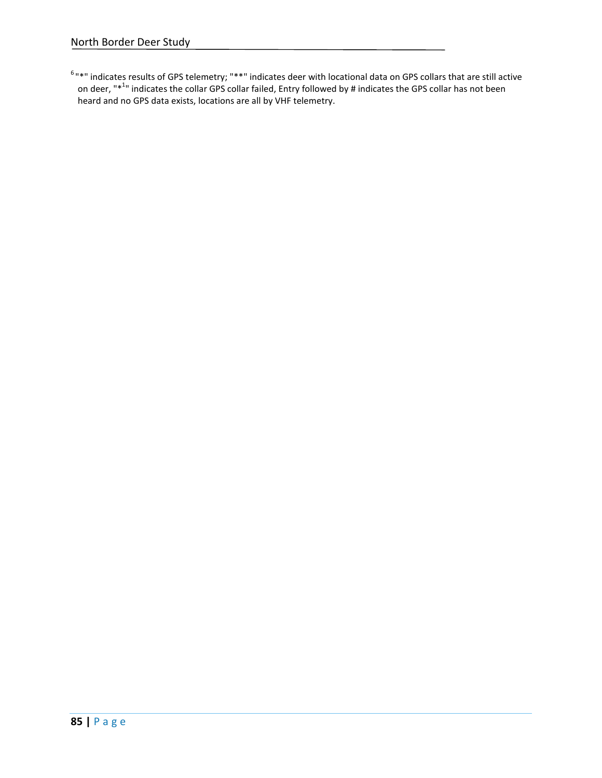$6$ "\*" indicates results of GPS telemetry; "\*\*" indicates deer with locational data on GPS collars that are still active on deer, "\*<sup>1</sup>" indicates the collar GPS collar failed, Entry followed by # indicates the GPS collar has not been heard and no GPS data exists, locations are all by VHF telemetry.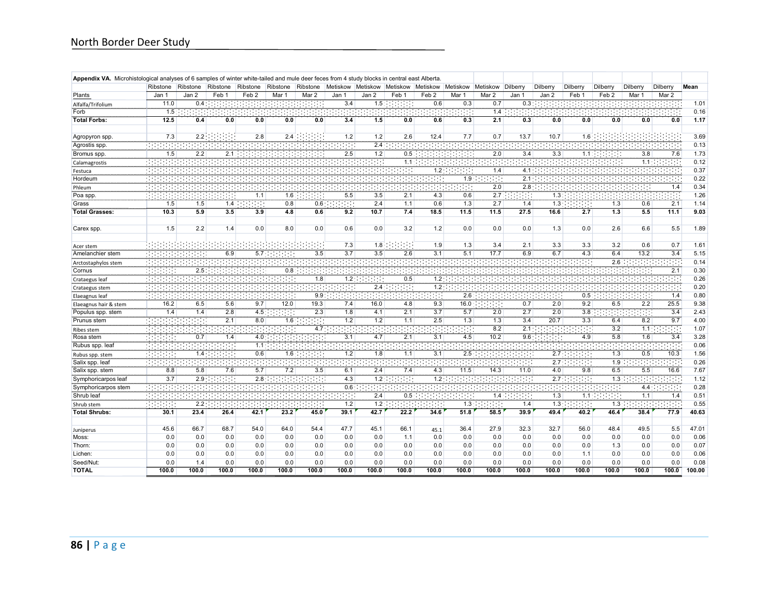| Appendix VA. Microhistological analyses of 6 samples of winter white-tailed and mule deer feces from 4 study blocks in central east Alberta. |                  |          |          |                  |          |          |                  |                 |                  |                   |          |          |                 |                    |                 |                  |                  |              |        |
|----------------------------------------------------------------------------------------------------------------------------------------------|------------------|----------|----------|------------------|----------|----------|------------------|-----------------|------------------|-------------------|----------|----------|-----------------|--------------------|-----------------|------------------|------------------|--------------|--------|
|                                                                                                                                              | Ribstone         | Ribstone | Ribstone | Ribstone         | Ribstone | Ribstone | Metiskow         | Metiskow        | Metiskow         | Metiskow Metiskow |          | Metiskow | <b>Dilberry</b> | Dilberry           | <b>Dilberry</b> | Dilberry         | Dilberry         | Dilberry     | Mean   |
| Plants                                                                                                                                       | Jan 1            | Jan 2    | Feb 1    | Feb <sub>2</sub> | Mar 1    | Mar 2    | Jan 1            | Jan 2           | Feb 1            | Feb <sub>2</sub>  | Mar 1    | Mar 2    | Jan 1           | Jan 2              | Feb 1           | Feb <sub>2</sub> | Mar 1            | Mar 2        |        |
| Alfalfa/Trifolium                                                                                                                            | 11.0             | 0.4      |          |                  |          |          | 3.4              | 1.5:            |                  | 0.6               | 0.3      | 0.7      | 0.3             |                    |                 |                  |                  |              | 1.01   |
| Forb                                                                                                                                         | 1.5              |          |          |                  |          |          |                  |                 |                  |                   |          | 1.4      |                 |                    |                 |                  |                  |              | 0.16   |
| <b>Total Forbs:</b>                                                                                                                          | 12.5             | 0.4      | 0.0      | 0.0              | 0.0      | 0.0      | 3.4              | 1.5             | 0.0              | 0.6               | 0.3      | 2.1      | 0.3             | 0.0                | 0.0             | 0.0              | 0.0              | 0.0          | 1.17   |
|                                                                                                                                              |                  |          |          |                  |          |          |                  |                 |                  |                   |          |          |                 |                    |                 |                  |                  |              |        |
| Agropyron spp.                                                                                                                               | 7.3              | 2.2      |          | 2.8              | 2.4      |          | 1.2              | 1.2             | 2.6              | 12.4              | 7.7      | 0.7      | 13.7            | 10.7               | 1.6             |                  |                  |              | 3.69   |
| Agrostis spp                                                                                                                                 |                  |          |          |                  |          |          |                  | 2.4             |                  |                   |          |          |                 |                    |                 |                  |                  |              | 0.13   |
| Bromus spp.                                                                                                                                  | 1.5              | 2.2      | 2.1      |                  |          |          | 2.5              | 1.2             | 0.5              |                   |          | 2.0      | 3.4             | 3.3                | 1.1             |                  | 3.8              | 7.6          | 1.73   |
| Calamagrostis                                                                                                                                |                  |          |          |                  |          |          |                  |                 | 1.1              |                   |          |          |                 |                    |                 |                  | 1.1:             |              | 0.12   |
| Festuca                                                                                                                                      |                  |          |          |                  |          |          |                  |                 |                  | 1.2               |          | 1.4      | 4.1             |                    |                 |                  |                  |              | 0.37   |
| Hordeum                                                                                                                                      |                  |          |          |                  |          |          |                  |                 |                  | ÷.                | 1.9:     | 1999     | 2.1             |                    |                 |                  |                  |              | 0.22   |
| Phleum                                                                                                                                       |                  |          |          |                  |          |          |                  |                 |                  |                   |          | 2.0      | 2.8             |                    |                 |                  |                  | 1.4          | 0.34   |
| Poa spp.                                                                                                                                     |                  |          |          | 1.1              | 1.6      |          | 5.5              | 3.5             | 2.1              | 4.3               | 0.6      | 2.7      |                 | 1.3                |                 |                  |                  |              | 1.26   |
| Grass                                                                                                                                        | 1.5              | 1.5      | 1.4      | 99               | 0.8      | 0.6:     | 99               | 2.4             | 1.1              | 0.6               | 1.3      | 2.7      | 1.4             | 1.3                | $-1 - 1$        | 1.3              | 0.6              | 2.1          | 1.14   |
| <b>Total Grasses:</b>                                                                                                                        | 10.3             | 5.9      | 3.5      | 3.9              | 4.8      | 0.6      | 9.2              | 10.7            | 7.4              | 18.5              | 11.5     | 11.5     | 27.5            | 16.6               | 2.7             | 1.3              | 5.5              | 11.1         | 9.03   |
|                                                                                                                                              |                  |          |          |                  |          |          |                  |                 |                  |                   |          |          |                 |                    |                 |                  |                  |              |        |
| Carex spp.                                                                                                                                   | 1.5              | 2.2      | 1.4      | 0.0              | 8.0      | 0.0      | 0.6              | 0.0             | 3.2              | 1.2               | 0.0      | 0.0      | 0.0             | 1.3                | 0.0             | 2.6              | 6.6              | 5.5          | 1.89   |
| Acer stem                                                                                                                                    |                  |          |          |                  |          |          | 7.3              | 1.8             |                  | 1.9               | 1.3      | 3.4      | 2.1             | 3.3                | 3.3             | 3.2              | 0.6              | 0.7          | 1.61   |
| Amelanchier stem                                                                                                                             |                  |          | 6.9      | 5.7              |          | 3.5      | $\overline{3.7}$ | 3.5             | 2.6              | 3.1               | 5.1      | 17.7     | 6.9             | 6.7                | 4.3             | 6.4              | 13.2             | 3.4          | 5.15   |
| Arctostaphylos stem                                                                                                                          |                  |          |          |                  |          |          |                  |                 |                  |                   |          |          |                 |                    |                 | 2.6              |                  |              | 0.14   |
| Cornus                                                                                                                                       |                  | 2.5      |          |                  | 0.8      |          |                  |                 |                  |                   |          |          |                 |                    |                 |                  |                  | 2.1          | 0.30   |
| Crataegus leaf                                                                                                                               |                  |          |          |                  |          | 1.8      | 1.2:             | ÷.              | 0.5              | 1.2               |          |          |                 |                    |                 |                  |                  |              | 0.26   |
| Crataegus stem                                                                                                                               |                  |          |          |                  |          |          |                  | 2.4             |                  | 7.2               |          |          |                 |                    |                 |                  |                  |              | 0.20   |
| Elaeagnus leaf                                                                                                                               | 1979-1979        |          |          |                  |          | 9.9      |                  |                 |                  |                   | 2.6      |          |                 |                    | 0.5             |                  | :                | 1.4          | 0.80   |
| Elaeagnus hair & stem                                                                                                                        | 16.2             | 6.5      | 5.6      | 9.7              | 12.0     | 19.3     | 7.4              | 16.0            | 4.8              | 9.3               | 16.0     |          | 0.7             | 2.0                | 9.2             | 6.5              | 2.2              | 25.5         | 9.38   |
| Populus spp. stem                                                                                                                            | 1.4              | 1.4      | 2.8      | 4.5              | -181     | 2.3      | 1.8              | 4.1             | 2.1              | 3.7               | 5.7      | 2.0      | 2.7             | 2.0                | 3.8             |                  | 88               | 3.4          | 2.43   |
| Prunus stem                                                                                                                                  |                  |          | 2.1      | 8.0              | 1.6:     | 88       | $\overline{1.2}$ | 1.2             | 1.1              | 2.5               | 1.3      | 1.3      | 3.4             | 20.7               | 3.3             | 6.4              | 8.2              | 9.7          | 4.00   |
| Ribes stem                                                                                                                                   |                  |          |          |                  |          | 4.7:     |                  |                 |                  |                   | $\cdots$ | 8.2      | 2.1             |                    | : . : .         | 3.2              | 1.1              |              | 1.07   |
| Rosa stem                                                                                                                                    |                  | 0.7      | 1.4      | 4.0              |          |          | 3.1              | 4.7             | $\overline{2.1}$ | 3.1               | 4.5      | 10.2     | 9.6             |                    | 4.9             | $-5.8$           | 1.6              | 3.4          | 3.28   |
| Rubus spp. leaf                                                                                                                              |                  |          |          | 1.1              |          |          |                  |                 |                  |                   |          |          |                 |                    |                 |                  |                  |              | 0.06   |
| Rubus spp. stem                                                                                                                              |                  | 1.4      |          | 0.6              | 1.6      |          | 1.2              | 1.8             | 1.1              | 3.1               | 2.5      |          |                 | 2.7                |                 | 1.3              | 0.5              | 10.3         | 1.56   |
| Salix spp. leaf                                                                                                                              |                  |          |          |                  |          |          |                  |                 |                  |                   |          |          |                 | 2.7                |                 | 7.9              |                  |              | 0.26   |
| Salix spp. stem                                                                                                                              | 8.8              | 5.8      | 7.6      | 5.7              | 7.2      | 3.5      | 6.1              | 2.4             | 7.4              | 4.3               | 11.5     | 14.3     | 11.0            | 4.0                | 9.8             | 6.5              | 5.5              | 16.6         | 7.67   |
| Symphoricarpos leaf                                                                                                                          | $\overline{3.7}$ | 2.9      | .        | 2.8              |          |          | $-4.3$           | $\frac{1}{2}$ : |                  | 7.2               |          |          |                 | $\overline{2.7}$ : | 99              | 7.3              |                  |              | 1.12   |
| Symphoricarpos stem                                                                                                                          | w                |          |          |                  |          |          | $\overline{0.6}$ |                 |                  |                   |          |          | 1919 B          |                    |                 |                  | 4.4:             |              | 0.28   |
| Shrub leaf                                                                                                                                   |                  |          |          |                  |          |          |                  | 2.4             | 0.5              |                   |          | 1.4      |                 | 1.3                | ÷.<br>1.1       | ۰                | $\overline{1.1}$ | 1.111<br>1.4 | 0.51   |
|                                                                                                                                              | 1919-11          | 2.2      |          |                  |          |          | 1.2              | $1.2$           |                  |                   | 1.3      |          | 1.4             | 1.3                | $\sim$ $\sim$   | 1.3              |                  |              | 0.55   |
| Shrub stem<br><b>Total Shrubs:</b>                                                                                                           | 30.1             | 23.4     | 26.4     | 42.1             | 23.2     | 45.0     | 39.1             | 42.7            | 22.2             | 34.6              | 51.8     | 58.5     | 39.9            | 49.4               | 40.2            | 46.4             | 38.4             | 77.9         | 40.63  |
|                                                                                                                                              |                  |          |          |                  |          |          |                  |                 |                  |                   |          |          |                 |                    |                 |                  |                  |              |        |
| Juniperus                                                                                                                                    | 45.6             | 66.7     | 68.7     | 54.0             | 64.0     | 54.4     | 47.7             | 45.1            | 66.1             | 45.1              | 36.4     | 27.9     | 32.3            | 32.7               | 56.0            | 48.4             | 49.5             | 5.5          | 47.01  |
| Moss:                                                                                                                                        | 0.0              | 0.0      | 0.0      | 0.0              | 0.0      | 0.0      | 0.0              | 0.0             | 1.1              | 0.0               | 0.0      | 0.0      | 0.0             | 0.0                | 0.0             | 0.0              | 0.0              | 0.0          | 0.06   |
| Thorn:                                                                                                                                       | 0.0              | 0.0      | 0.0      | 0.0              | 0.0      | 0.0      | 0.0              | 0.0             | 0.0              | 0.0               | 0.0      | 0.0      | 0.0             | 0.0                | 0.0             | 1.3              | 0.0              | 0.0          | 0.07   |
| Lichen:                                                                                                                                      | 0.0              | 0.0      | 0.0      | 0.0              | 0.0      | 0.0      | 0.0              | 0.0             | 0.0              | 0.0               | 0.0      | 0.0      | 0.0             | 0.0                | 1.1             | 0.0              | 0.0              | 0.0          | 0.06   |
| Seed/Nut:                                                                                                                                    | 0.0              | 1.4      | 0.0      | 0.0              | 0.0      | 0.0      | 0.0              | 0.0             | 0.0              | 0.0               | 0.0      | 0.0      | 0.0             | 0.0                | 0.0             | 0.0              | 0.0              | 0.0          | 0.08   |
| <b>TOTAL</b>                                                                                                                                 | 100.0            | 100.0    | 100.0    | 100.0            | 100.0    | 100.0    | 100.0            | 100.0           | 100.0            | 100.0             | 100.0    | 100.0    | 100.0           | 100.0              | 100.0           | 100.0            | 100.0            | 100.0        | 100.00 |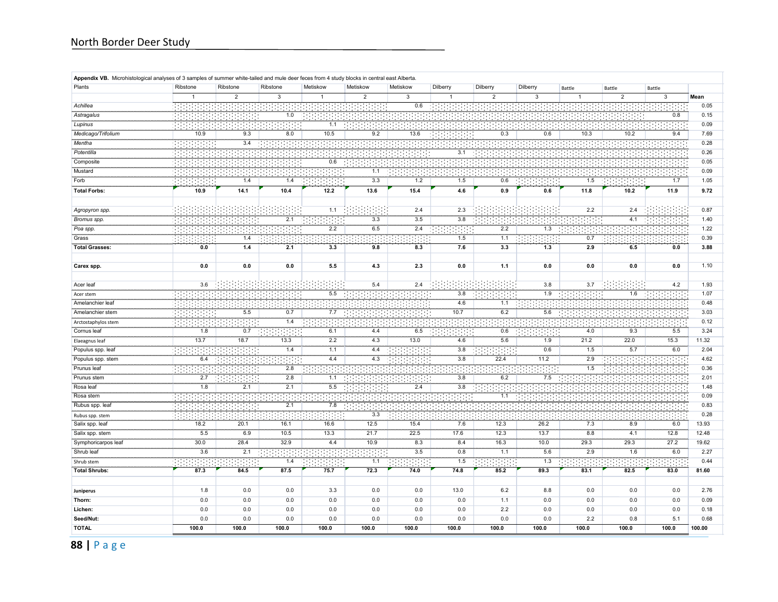| Appendix VB. Microhistological analyses of 3 samples of summer white-tailed and mule deer feces from 4 study blocks in central east Alberta. |              |                |                  |              |                |                  |                  |                |                 |                  |                  |                |        |
|----------------------------------------------------------------------------------------------------------------------------------------------|--------------|----------------|------------------|--------------|----------------|------------------|------------------|----------------|-----------------|------------------|------------------|----------------|--------|
| Plants                                                                                                                                       | Ribstone     | Ribstone       | Ribstone         | Metiskow     | Metiskow       | Metiskow         | Dilberry         | Dilberry       | Dilberry        | Battle           | Battle           | Battle         |        |
|                                                                                                                                              | $\mathbf{1}$ | $\overline{2}$ | 3                | $\mathbf{1}$ | $\overline{2}$ | 3                | $\mathbf{1}$     | $\overline{2}$ | $\overline{3}$  | $\mathbf{1}$     | $\overline{2}$   | $\overline{3}$ | Mean   |
| Achillea                                                                                                                                     |              |                |                  |              |                | 0.6              |                  |                |                 |                  |                  |                | 0.05   |
| Astragalus                                                                                                                                   |              |                | $1.0\,$          |              |                |                  |                  |                |                 |                  |                  | 0.8            | 0.15   |
| Lupinus                                                                                                                                      |              |                |                  | 1.1          |                |                  |                  |                |                 |                  |                  |                | 0.09   |
| Medicago/Trifolium                                                                                                                           | 10.9         | 9.3            | 8.0              | 10.5         | 9.2            | 13.6             |                  | 0.3            | 0.6             | 10.3             | 10.2             | 9.4            | 7.69   |
| Mentha                                                                                                                                       |              | 3.4            |                  |              |                |                  |                  |                |                 |                  |                  |                | 0.28   |
| Potentilla                                                                                                                                   | 191          |                |                  |              |                |                  | 3.1              |                |                 |                  |                  |                | 0.26   |
| Composite                                                                                                                                    | -99          |                |                  | 0.6          |                |                  |                  |                |                 |                  |                  |                | 0.05   |
| Mustard                                                                                                                                      |              |                |                  |              | 1.1            |                  |                  |                |                 |                  |                  |                | 0.09   |
| Forb                                                                                                                                         | 99           | 1.4            | 1.4              |              | 3.3            | 1.2              | 1.5              | 0.6            |                 | 1.5              |                  | 1.7            | 1.05   |
| <b>Total Forbs:</b>                                                                                                                          | 10.9         | 14.1           | 10.4             | 12.2         | 13.6           | 15.4             | 4.6              | 0.9            | $0.6\,$         | 11.8             | 10.2             | 11.9           | 9.72   |
|                                                                                                                                              |              |                |                  |              |                |                  |                  |                |                 |                  |                  |                |        |
| Agropyron spp.                                                                                                                               |              |                |                  | 1.1          |                | 2.4              | 2.3              |                |                 | 2.2              | 2.4              |                | 0.87   |
| Bromus spp.                                                                                                                                  | ÷.           |                | 2.1              |              | 3.3            | 3.5              | 3.8              |                |                 |                  | 4.1              |                | 1.40   |
| Poa spp.                                                                                                                                     | ÷.           |                |                  | 2.2          | 6.5            | 2.4              |                  | 2.2            | $\frac{1}{1.3}$ |                  |                  |                | 1.22   |
| Grass                                                                                                                                        |              | 1.4            |                  |              |                |                  | 1.5              | 1.1            |                 | 0.7              |                  |                | 0.39   |
| <b>Total Grasses:</b>                                                                                                                        | 0.0          | 1.4            | 2.1              | 3.3          | 9.8            | 8.3              | 7.6              | 3.3            | 1.3             | 2.9              | 6.5              | 0.0            | 3.88   |
|                                                                                                                                              |              |                |                  |              |                |                  |                  |                |                 |                  |                  |                |        |
| Carex spp.                                                                                                                                   | 0.0          | 0.0            | 0.0              | 5.5          | 4.3            | 2.3              | 0.0              | 1.1            | 0.0             | 0.0              | 0.0              | 0.0            | 1.10   |
|                                                                                                                                              |              |                |                  |              |                |                  |                  |                |                 |                  |                  |                |        |
| Acer leaf                                                                                                                                    | 3.6          |                |                  |              | 5.4            | 2.4              |                  |                | 3.8             | 3.7              |                  | 4.2            | 1.93   |
| Acer stem                                                                                                                                    | <b>.</b>     |                |                  | 5.5          |                |                  | 3.8              |                | 1.9             |                  | 1.6              |                | 1.07   |
| Amelanchier leaf                                                                                                                             | <b>.</b>     |                |                  |              |                |                  | 4.6              | 1.1            |                 |                  |                  |                | 0.48   |
| Amelanchier stem                                                                                                                             | 98           | 5.5            | $\overline{0.7}$ | 7.7          |                |                  | 10.7             | 6.2            | 5.6             |                  |                  |                | 3.03   |
| Arctostaphylos stem                                                                                                                          |              |                | $1.4$            |              |                |                  |                  |                |                 |                  |                  |                | 0.12   |
| Cornus leaf                                                                                                                                  | 1.8          | 0.7            |                  | 6.1          | 4.4            | 6.5              |                  | 0.6            |                 | 4.0              | 9.3              | 5.5            | 3.24   |
| Elaeagnus leaf                                                                                                                               | 13.7         | 78.7           | 13.3             | 2.2          | 4.3            | 13.0             | 4.6              | 5.6            | 1.9             | 21.2             | 22.0             | 15.3           | 11.32  |
| Populus spp. leaf                                                                                                                            | 191          |                | 1.4              | 7.1          | 4.4            |                  | 3.8              |                | 0.6             | $-1.5$           | 5.7              | 6.0            | 2.04   |
| Populus spp. stem                                                                                                                            | 6.4          |                |                  | 4.4          | 4.3            |                  | 3.8              | 22.4           | 11.2            | 2.9              |                  |                | 4.62   |
| Prunus leaf                                                                                                                                  | ÷.           |                | 2.8              |              |                |                  |                  |                |                 | $\overline{1.5}$ |                  |                | 0.36   |
| Prunus stem                                                                                                                                  | 2.7          |                | 2.8              | 1.1          |                |                  | 3.8              | 6.2            | 7.5             |                  |                  |                | 2.01   |
| Rosa leaf                                                                                                                                    | 1.8          | 2.1            | $\overline{2.1}$ | 5.5          |                | 2.4              | $\overline{3.8}$ |                |                 |                  |                  |                | 1.48   |
| Rosa stem                                                                                                                                    |              |                |                  |              |                |                  |                  | 1.1            |                 |                  |                  |                | 0.09   |
| Rubus spp. leaf                                                                                                                              |              |                | 2.1              | 7.8          |                |                  |                  |                |                 |                  |                  |                | 0.83   |
| Rubus spp. stem                                                                                                                              |              |                |                  |              | 3.3            |                  |                  |                |                 |                  |                  |                | 0.28   |
| Salix spp. leaf                                                                                                                              | 18.2         | 20.1           | 16.1             | 16.6         | 12.5           | 15.4             | 7.6              | 12.3           | 26.2            | 7.3              | 8.9              | 6.0            | 13.93  |
| Salix spp. stem                                                                                                                              | 5.5          | 6.9            | 10.5             | 13.3         | 21.7           | 22.5             | 17.6             | 12.3           | 13.7            | 8.8              | 4.1              | 12.8           | 12.48  |
| Symphoricarpos leaf                                                                                                                          | 30.0         | 28.4           | 32.9             | 4.4          | 10.9           | 8.3              | 8.4              | 16.3           | 10.0            | 29.3             | 29.3             | 27.2           | 19.62  |
| Shrub leaf                                                                                                                                   | 3.6          | 2.1            |                  |              |                | $\overline{3.5}$ | 0.8              | 1.1            | 5.6             | $\overline{2.9}$ | $\overline{1.6}$ | 6.0            | 2.27   |
| Shrub stem                                                                                                                                   |              |                | 1.4              |              | 1.1            |                  | 1.5              |                | 1.3             |                  |                  |                | 0.44   |
| <b>Total Shrubs:</b>                                                                                                                         | 87.3         | 84.5           | 87.5             | 75.7         | 72.3           | 74.0             | 74.8             | 85.2           | 89.3            | 83.1             | 82.5             | 83.0           | 81.60  |
|                                                                                                                                              |              |                |                  |              |                |                  |                  |                |                 |                  |                  |                |        |
| Juniperus                                                                                                                                    | 1.8          | 0.0            | 0.0              | 3.3          | 0.0            | 0.0              | 13.0             | 6.2            | 8.8             | 0.0              | 0.0              | 0.0            | 2.76   |
| Thorn:                                                                                                                                       | 0.0          | 0.0            | 0.0              | 0.0          | 0.0            | 0.0              | 0.0              | 1.1            | 0.0             | 0.0              | 0.0              | 0.0            | 0.09   |
| Lichen:                                                                                                                                      | 0.0          | 0.0            | 0.0              | 0.0          | 0.0            | 0.0              | 0.0              | 2.2            | 0.0             | 0.0              | 0.0              | 0.0            | 0.18   |
| Seed/Nut:                                                                                                                                    | 0.0          | 0.0            | 0.0              | 0.0          | 0.0            | 0.0              | 0.0              | 0.0            | 0.0             | 2.2              | 0.8              | 5.1            | 0.68   |
| <b>TOTAL</b>                                                                                                                                 | 100.0        | 100.0          | 100.0            | 100.0        | 100.0          | 100.0            | 100.0            | 100.0          | 100.0           | 100.0            | 100.0            | 100.0          | 100.00 |

**88 |** Page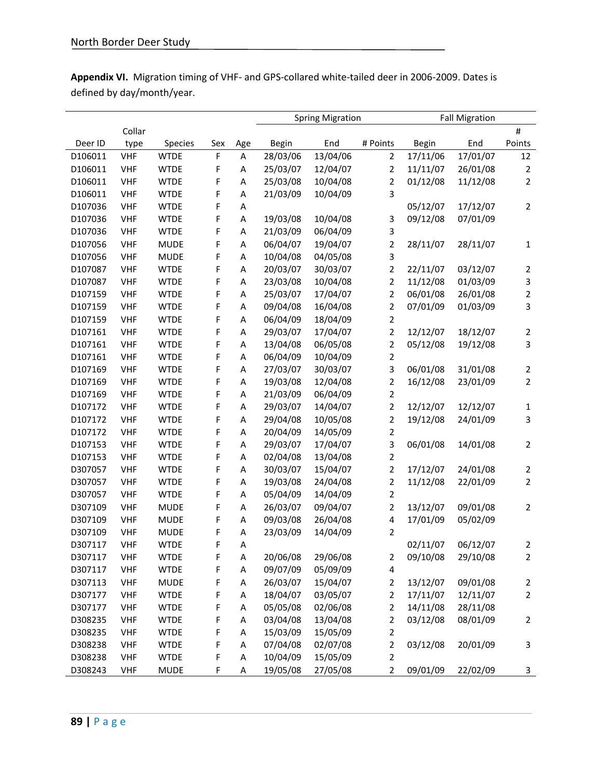| Appendix VI. Migration timing of VHF- and GPS-collared white-tailed deer in 2006-2009. Dates is |  |
|-------------------------------------------------------------------------------------------------|--|
| defined by day/month/year.                                                                      |  |

|         |            |             |             |     | <b>Spring Migration</b> |          | <b>Fall Migration</b>   |              |          |                         |
|---------|------------|-------------|-------------|-----|-------------------------|----------|-------------------------|--------------|----------|-------------------------|
|         | Collar     |             |             |     |                         |          |                         |              |          | $\sharp$                |
| Deer ID | type       | Species     | Sex         | Age | <b>Begin</b>            | End      | # Points                | <b>Begin</b> | End      | Points                  |
| D106011 | <b>VHF</b> | <b>WTDE</b> | $\mathsf F$ | A   | 28/03/06                | 13/04/06 | $\overline{2}$          | 17/11/06     | 17/01/07 | 12                      |
| D106011 | <b>VHF</b> | <b>WTDE</b> | F           | А   | 25/03/07                | 12/04/07 | $\overline{2}$          | 11/11/07     | 26/01/08 | 2                       |
| D106011 | <b>VHF</b> | <b>WTDE</b> | F           | А   | 25/03/08                | 10/04/08 | 2                       | 01/12/08     | 11/12/08 | 2                       |
| D106011 | <b>VHF</b> | <b>WTDE</b> | F           | А   | 21/03/09                | 10/04/09 | 3                       |              |          |                         |
| D107036 | <b>VHF</b> | <b>WTDE</b> | F           | Α   |                         |          |                         | 05/12/07     | 17/12/07 | 2                       |
| D107036 | <b>VHF</b> | <b>WTDE</b> | F           | Α   | 19/03/08                | 10/04/08 | 3                       | 09/12/08     | 07/01/09 |                         |
| D107036 | <b>VHF</b> | <b>WTDE</b> | F           | Α   | 21/03/09                | 06/04/09 | 3                       |              |          |                         |
| D107056 | <b>VHF</b> | <b>MUDE</b> | F           | Α   | 06/04/07                | 19/04/07 | $\overline{\mathbf{c}}$ | 28/11/07     | 28/11/07 | 1                       |
| D107056 | <b>VHF</b> | <b>MUDE</b> | F           | A   | 10/04/08                | 04/05/08 | 3                       |              |          |                         |
| D107087 | <b>VHF</b> | <b>WTDE</b> | F           | A   | 20/03/07                | 30/03/07 | 2                       | 22/11/07     | 03/12/07 | 2                       |
| D107087 | <b>VHF</b> | <b>WTDE</b> | F           | A   | 23/03/08                | 10/04/08 | $\overline{2}$          | 11/12/08     | 01/03/09 | 3                       |
| D107159 | <b>VHF</b> | <b>WTDE</b> | F           | Α   | 25/03/07                | 17/04/07 | 2                       | 06/01/08     | 26/01/08 | $\overline{\mathbf{c}}$ |
| D107159 | <b>VHF</b> | <b>WTDE</b> | F           | Α   | 09/04/08                | 16/04/08 | $\overline{2}$          | 07/01/09     | 01/03/09 | 3                       |
| D107159 | <b>VHF</b> | <b>WTDE</b> | F           | Α   | 06/04/09                | 18/04/09 | $\overline{2}$          |              |          |                         |
| D107161 | <b>VHF</b> | <b>WTDE</b> | F           | Α   | 29/03/07                | 17/04/07 | 2                       | 12/12/07     | 18/12/07 | 2                       |
| D107161 | <b>VHF</b> | <b>WTDE</b> | F           | Α   | 13/04/08                | 06/05/08 | 2                       | 05/12/08     | 19/12/08 | 3                       |
| D107161 | <b>VHF</b> | <b>WTDE</b> | F           | Α   | 06/04/09                | 10/04/09 | 2                       |              |          |                         |
| D107169 | <b>VHF</b> | <b>WTDE</b> | F           | Α   | 27/03/07                | 30/03/07 | 3                       | 06/01/08     | 31/01/08 | 2                       |
| D107169 | <b>VHF</b> | <b>WTDE</b> | F           | А   | 19/03/08                | 12/04/08 | $\overline{\mathbf{c}}$ | 16/12/08     | 23/01/09 | $\overline{2}$          |
| D107169 | <b>VHF</b> | <b>WTDE</b> | F           | А   | 21/03/09                | 06/04/09 | 2                       |              |          |                         |
| D107172 | <b>VHF</b> | <b>WTDE</b> | F           | Α   | 29/03/07                | 14/04/07 | $\overline{2}$          | 12/12/07     | 12/12/07 | 1                       |
| D107172 | <b>VHF</b> | <b>WTDE</b> | F           | Α   | 29/04/08                | 10/05/08 | 2                       | 19/12/08     | 24/01/09 | 3                       |
| D107172 | <b>VHF</b> | <b>WTDE</b> | F           | Α   | 20/04/09                | 14/05/09 | 2                       |              |          |                         |
| D107153 | <b>VHF</b> | <b>WTDE</b> | F           | A   | 29/03/07                | 17/04/07 | 3                       | 06/01/08     | 14/01/08 | 2                       |
| D107153 | <b>VHF</b> | <b>WTDE</b> | F           | A   | 02/04/08                | 13/04/08 | 2                       |              |          |                         |
| D307057 | <b>VHF</b> | <b>WTDE</b> | F           | A   | 30/03/07                | 15/04/07 | 2                       | 17/12/07     | 24/01/08 | 2                       |
| D307057 | <b>VHF</b> | <b>WTDE</b> | F           | A   | 19/03/08                | 24/04/08 | 2                       | 11/12/08     | 22/01/09 | $\overline{2}$          |
| D307057 | <b>VHF</b> | <b>WTDE</b> | F           | Α   | 05/04/09                | 14/04/09 | 2                       |              |          |                         |
| D307109 | <b>VHF</b> | <b>MUDE</b> | F           | Α   | 26/03/07                | 09/04/07 | $\overline{2}$          | 13/12/07     | 09/01/08 | 2                       |
| D307109 | <b>VHF</b> | <b>MUDE</b> | F           | Α   | 09/03/08                | 26/04/08 | 4                       | 17/01/09     | 05/02/09 |                         |
| D307109 | <b>VHF</b> | <b>MUDE</b> | F           | Α   | 23/03/09                | 14/04/09 | 2                       |              |          |                         |
| D307117 | <b>VHF</b> | <b>WTDE</b> | F           | Α   |                         |          |                         | 02/11/07     | 06/12/07 | 2                       |
| D307117 | <b>VHF</b> | <b>WTDE</b> | F           | A   | 20/06/08                | 29/06/08 | 2                       | 09/10/08     | 29/10/08 | 2                       |
| D307117 | <b>VHF</b> | <b>WTDE</b> | F           | А   | 09/07/09                | 05/09/09 | 4                       |              |          |                         |
| D307113 | <b>VHF</b> | <b>MUDE</b> | F           | A   | 26/03/07                | 15/04/07 | $\overline{\mathbf{c}}$ | 13/12/07     | 09/01/08 | $\overline{\mathbf{c}}$ |
| D307177 | <b>VHF</b> | <b>WTDE</b> | F           | A   | 18/04/07                | 03/05/07 | 2                       | 17/11/07     | 12/11/07 | 2                       |
| D307177 | <b>VHF</b> | <b>WTDE</b> | F           | А   | 05/05/08                | 02/06/08 | 2                       | 14/11/08     | 28/11/08 |                         |
| D308235 | <b>VHF</b> | <b>WTDE</b> | F           | А   | 03/04/08                | 13/04/08 | 2                       | 03/12/08     | 08/01/09 | 2                       |
| D308235 | <b>VHF</b> | <b>WTDE</b> | F           | А   | 15/03/09                | 15/05/09 | 2                       |              |          |                         |
| D308238 | <b>VHF</b> | <b>WTDE</b> | F           | А   | 07/04/08                | 02/07/08 | 2                       | 03/12/08     | 20/01/09 | 3                       |
| D308238 | <b>VHF</b> | <b>WTDE</b> | F           | Α   | 10/04/09                | 15/05/09 | 2                       |              |          |                         |
| D308243 | <b>VHF</b> | <b>MUDE</b> | F           | Α   | 19/05/08                | 27/05/08 | 2                       | 09/01/09     | 22/02/09 | 3                       |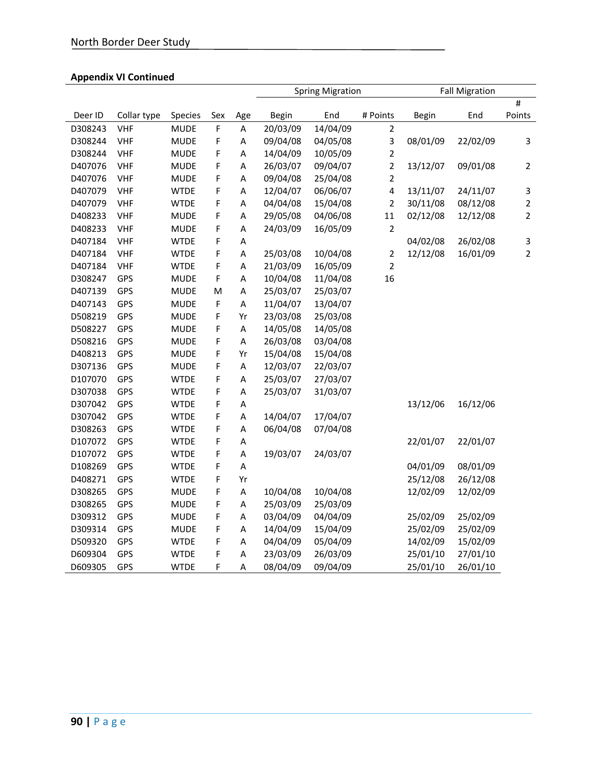|         |             |             |     |                           | <b>Spring Migration</b> |          | <b>Fall Migration</b>   |          |          |                |
|---------|-------------|-------------|-----|---------------------------|-------------------------|----------|-------------------------|----------|----------|----------------|
|         |             |             |     |                           |                         |          |                         |          |          | $\#$           |
| Deer ID | Collar type | Species     | Sex | Age                       | Begin                   | End      | # Points                | Begin    | End      | Points         |
| D308243 | <b>VHF</b>  | <b>MUDE</b> | F   | A                         | 20/03/09                | 14/04/09 | $\overline{2}$          |          |          |                |
| D308244 | <b>VHF</b>  | <b>MUDE</b> | F   | A                         | 09/04/08                | 04/05/08 | 3                       | 08/01/09 | 22/02/09 | 3              |
| D308244 | <b>VHF</b>  | <b>MUDE</b> | F   | A                         | 14/04/09                | 10/05/09 | $\mathbf 2$             |          |          |                |
| D407076 | <b>VHF</b>  | <b>MUDE</b> | F   | A                         | 26/03/07                | 09/04/07 | $\overline{c}$          | 13/12/07 | 09/01/08 | $\overline{2}$ |
| D407076 | <b>VHF</b>  | <b>MUDE</b> | F   | A                         | 09/04/08                | 25/04/08 | $\overline{2}$          |          |          |                |
| D407079 | <b>VHF</b>  | <b>WTDE</b> | F   | A                         | 12/04/07                | 06/06/07 | $\overline{\mathbf{4}}$ | 13/11/07 | 24/11/07 | 3              |
| D407079 | <b>VHF</b>  | <b>WTDE</b> | F   | A                         | 04/04/08                | 15/04/08 | $\mathbf 2$             | 30/11/08 | 08/12/08 | $\mathbf 2$    |
| D408233 | <b>VHF</b>  | <b>MUDE</b> | F   | A                         | 29/05/08                | 04/06/08 | 11                      | 02/12/08 | 12/12/08 | $\overline{2}$ |
| D408233 | <b>VHF</b>  | <b>MUDE</b> | F   | A                         | 24/03/09                | 16/05/09 | $\mathbf 2$             |          |          |                |
| D407184 | <b>VHF</b>  | <b>WTDE</b> | F   | A                         |                         |          |                         | 04/02/08 | 26/02/08 | 3              |
| D407184 | <b>VHF</b>  | <b>WTDE</b> | F   | $\overline{A}$            | 25/03/08                | 10/04/08 | $\overline{\mathbf{c}}$ | 12/12/08 | 16/01/09 | $\overline{2}$ |
| D407184 | <b>VHF</b>  | <b>WTDE</b> | F   | A                         | 21/03/09                | 16/05/09 | $\overline{c}$          |          |          |                |
| D308247 | GPS         | <b>MUDE</b> | F   | A                         | 10/04/08                | 11/04/08 | 16                      |          |          |                |
| D407139 | GPS         | <b>MUDE</b> | M   | A                         | 25/03/07                | 25/03/07 |                         |          |          |                |
| D407143 | GPS         | <b>MUDE</b> | F   | A                         | 11/04/07                | 13/04/07 |                         |          |          |                |
| D508219 | GPS         | <b>MUDE</b> | F   | Yr                        | 23/03/08                | 25/03/08 |                         |          |          |                |
| D508227 | GPS         | <b>MUDE</b> | F   | A                         | 14/05/08                | 14/05/08 |                         |          |          |                |
| D508216 | GPS         | <b>MUDE</b> | F   | A                         | 26/03/08                | 03/04/08 |                         |          |          |                |
| D408213 | GPS         | <b>MUDE</b> | F   | Yr                        | 15/04/08                | 15/04/08 |                         |          |          |                |
| D307136 | GPS         | <b>MUDE</b> | F   | A                         | 12/03/07                | 22/03/07 |                         |          |          |                |
| D107070 | GPS         | <b>WTDE</b> | F   | A                         | 25/03/07                | 27/03/07 |                         |          |          |                |
| D307038 | GPS         | <b>WTDE</b> | F   | A                         | 25/03/07                | 31/03/07 |                         |          |          |                |
| D307042 | GPS         | <b>WTDE</b> | F   | A                         |                         |          |                         | 13/12/06 | 16/12/06 |                |
| D307042 | GPS         | <b>WTDE</b> | F   | A                         | 14/04/07                | 17/04/07 |                         |          |          |                |
| D308263 | GPS         | <b>WTDE</b> | F   | A                         | 06/04/08                | 07/04/08 |                         |          |          |                |
| D107072 | GPS         | <b>WTDE</b> | F   | A                         |                         |          |                         | 22/01/07 | 22/01/07 |                |
| D107072 | GPS         | <b>WTDE</b> | F   | A                         | 19/03/07                | 24/03/07 |                         |          |          |                |
| D108269 | GPS         | <b>WTDE</b> | F   | A                         |                         |          |                         | 04/01/09 | 08/01/09 |                |
| D408271 | GPS         | <b>WTDE</b> | F   | Yr                        |                         |          |                         | 25/12/08 | 26/12/08 |                |
| D308265 | GPS         | <b>MUDE</b> | F   | $\boldsymbol{\mathsf{A}}$ | 10/04/08                | 10/04/08 |                         | 12/02/09 | 12/02/09 |                |
| D308265 | GPS         | <b>MUDE</b> | F   | A                         | 25/03/09                | 25/03/09 |                         |          |          |                |
| D309312 | GPS         | <b>MUDE</b> | F   | A                         | 03/04/09                | 04/04/09 |                         | 25/02/09 | 25/02/09 |                |
| D309314 | GPS         | <b>MUDE</b> | F   | A                         | 14/04/09                | 15/04/09 |                         | 25/02/09 | 25/02/09 |                |
| D509320 | GPS         | <b>WTDE</b> | F   | A                         | 04/04/09                | 05/04/09 |                         | 14/02/09 | 15/02/09 |                |
| D609304 | GPS         | <b>WTDE</b> | F   | Α                         | 23/03/09                | 26/03/09 |                         | 25/01/10 | 27/01/10 |                |
| D609305 | GPS         | <b>WTDE</b> | F   | Α                         | 08/04/09                | 09/04/09 |                         | 25/01/10 | 26/01/10 |                |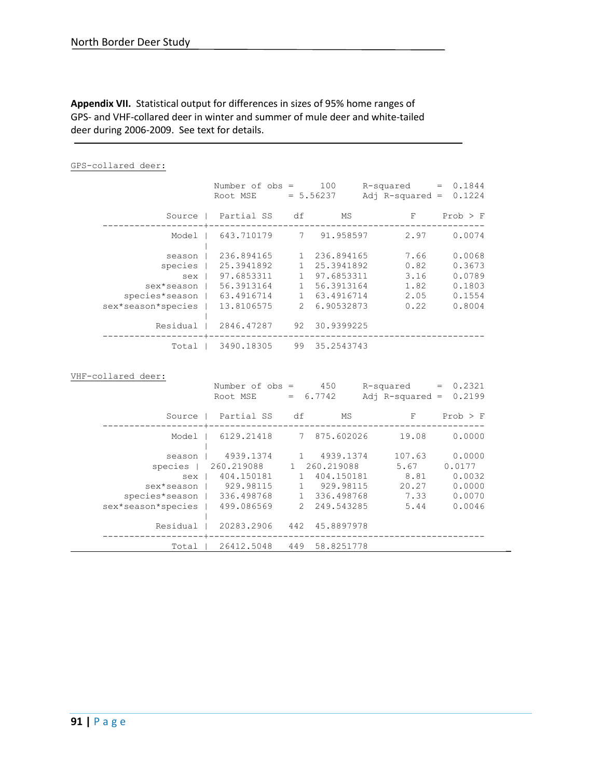## **Appendix VII.** Statistical output for differences in sizes of 95% home ranges of GPS- and VHF-collared deer in winter and summer of mule deer and white-tailed deer during 2006-2009. See text for details.

#### GPS-collared deer:

|                                 | Number of $obs =$<br>$Root MSE = 5.56237$ |   | 100           | $R$ -squared = $0.1844$<br>Adj $R$ -squared = | 0.1224       |
|---------------------------------|-------------------------------------------|---|---------------|-----------------------------------------------|--------------|
| Source                          | Partial SS df                             |   | МS            | $\mathbf{F}$<br>-------------                 | $Prob$ > $F$ |
| Model                           | 643.710179 7 91.958597                    |   |               | 2.97                                          | 0.0074       |
| season                          | 236.894165                                |   | 1 236.894165  | 7.66                                          | 0.0068       |
|                                 | species   25.3941892                      |   | 25.3941892    | 0.82                                          | 0.3673       |
| sex                             | 97.6853311                                |   | 97.6853311    | 3.16                                          | 0.0789       |
| sex*season                      | 56.3913164                                |   | 56.3913164    | 1.82                                          | 0.1803       |
| species*season   63.4916714     |                                           | 1 | 63.4916714    | 2.05                                          | 0.1554       |
| sex*season*species   13.8106575 |                                           |   | 2 6.90532873  | 0.22                                          | 0.8004       |
| Residual                        | 2846.47287                                |   | 92 30.9399225 |                                               |              |
|                                 | Total   3490.18305                        |   | 99 35.2543743 |                                               |              |

#### VHF-collared deer:

|                             | Number of $obs =$<br>Root MSE |                | 450<br>$= 6.7742$ | R-squared<br>Adj $R$ -squared = | 0.2321<br>$=$<br>0.2199 |
|-----------------------------|-------------------------------|----------------|-------------------|---------------------------------|-------------------------|
| Source                      | Partial SS                    | df             | MS                | F                               | $Prob$ > $F$            |
| Model                       | 6129.21418                    |                | 7 875.602026      | 19.08                           | 0.0000                  |
| season                      | 4939.1374                     |                | 4939.1374         | 107.63                          | 0.0000                  |
| species                     | 260.219088                    | $\mathbf{1}$   | 260.219088        | 5.67                            | 0.0177                  |
| sex                         | 404.150181                    |                | 404.150181        | 8.81                            | 0.0032                  |
| sex*season                  | 929.98115                     |                | 929.98115         | 20.27                           | 0.0000                  |
| species*season   336.498768 |                               |                | 336.498768        | 7.33                            | 0.0070                  |
| sex*season*species          | 499.086569                    | $\overline{2}$ | 249.543285        | 5.44                            | 0.0046                  |
| Residual                    | 20283.2906                    | 442            | 45.8897978        |                                 |                         |
| Total                       | 26412.5048                    | 449            | 58.8251778        |                                 |                         |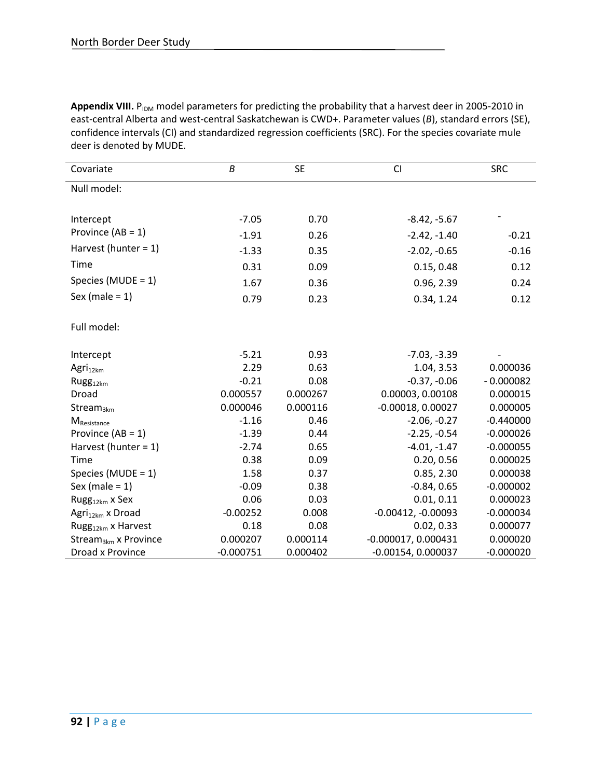Appendix VIII. P<sub>IDM</sub> model parameters for predicting the probability that a harvest deer in 2005-2010 in east-central Alberta and west-central Saskatchewan is CWD+. Parameter values (*B*), standard errors (SE), confidence intervals (CI) and standardized regression coefficients (SRC). For the species covariate mule deer is denoted by MUDE.

| Covariate                        | B           | <b>SE</b> | <b>CI</b>             | <b>SRC</b>  |
|----------------------------------|-------------|-----------|-----------------------|-------------|
| Null model:                      |             |           |                       |             |
|                                  |             |           |                       |             |
| Intercept                        | $-7.05$     | 0.70      | $-8.42, -5.67$        |             |
| Province $(AB = 1)$              | $-1.91$     | 0.26      | $-2.42, -1.40$        | $-0.21$     |
| Harvest (hunter = $1$ )          | $-1.33$     | 0.35      | $-2.02, -0.65$        | $-0.16$     |
| Time                             | 0.31        | 0.09      | 0.15, 0.48            | 0.12        |
| Species (MUDE = 1)               | 1.67        | 0.36      | 0.96, 2.39            | 0.24        |
| Sex (male = $1$ )                | 0.79        | 0.23      | 0.34, 1.24            | 0.12        |
|                                  |             |           |                       |             |
| Full model:                      |             |           |                       |             |
|                                  |             |           |                       |             |
| Intercept                        | $-5.21$     | 0.93      | $-7.03, -3.39$        |             |
| Agri <sub>12km</sub>             | 2.29        | 0.63      | 1.04, 3.53            | 0.000036    |
| Rugg <sub>12km</sub>             | $-0.21$     | 0.08      | $-0.37, -0.06$        | $-0.000082$ |
| Droad                            | 0.000557    | 0.000267  | 0.00003, 0.00108      | 0.000015    |
| Stream $_{3km}$                  | 0.000046    | 0.000116  | $-0.00018, 0.00027$   | 0.000005    |
| M <sub>Resistance</sub>          | $-1.16$     | 0.46      | $-2.06, -0.27$        | $-0.440000$ |
| Province $(AB = 1)$              | $-1.39$     | 0.44      | $-2.25, -0.54$        | $-0.000026$ |
| Harvest (hunter = $1$ )          | $-2.74$     | 0.65      | $-4.01, -1.47$        | $-0.000055$ |
| Time                             | 0.38        | 0.09      | 0.20, 0.56            | 0.000025    |
| Species (MUDE = $1$ )            | 1.58        | 0.37      | 0.85, 2.30            | 0.000038    |
| Sex (male $= 1$ )                | $-0.09$     | 0.38      | $-0.84, 0.65$         | $-0.000002$ |
| Rugg $_{12km}$ x Sex             | 0.06        | 0.03      | 0.01, 0.11            | 0.000023    |
| Agri <sub>12km</sub> x Droad     | $-0.00252$  | 0.008     | $-0.00412, -0.00093$  | $-0.000034$ |
| Rugg <sub>12km</sub> x Harvest   | 0.18        | 0.08      | 0.02, 0.33            | 0.000077    |
| Stream <sub>3km</sub> x Province | 0.000207    | 0.000114  | $-0.000017, 0.000431$ | 0.000020    |
| Droad x Province                 | $-0.000751$ | 0.000402  | $-0.00154, 0.000037$  | $-0.000020$ |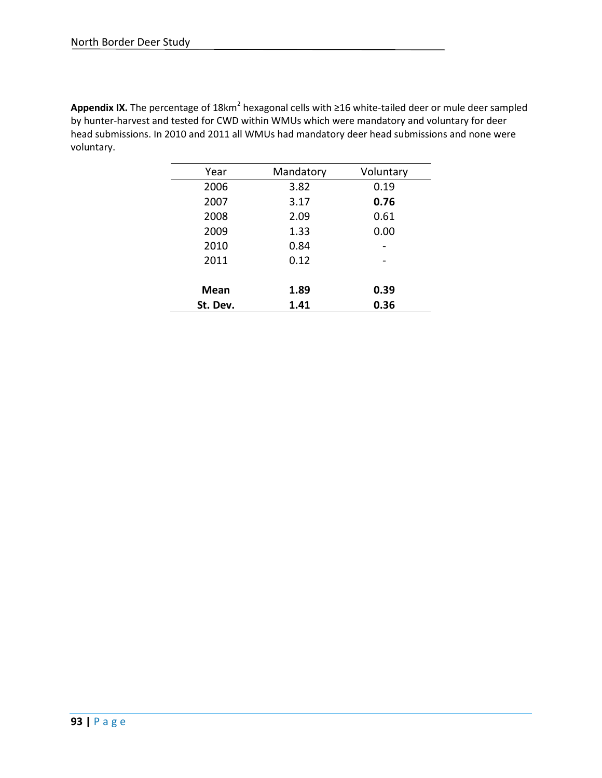Appendix IX. The percentage of 18km<sup>2</sup> hexagonal cells with ≥16 white-tailed deer or mule deer sampled by hunter-harvest and tested for CWD within WMUs which were mandatory and voluntary for deer head submissions. In 2010 and 2011 all WMUs had mandatory deer head submissions and none were voluntary.

| Year     | Mandatory | Voluntary |
|----------|-----------|-----------|
| 2006     | 3.82      | 0.19      |
| 2007     | 3.17      | 0.76      |
| 2008     | 2.09      | 0.61      |
| 2009     | 1.33      | 0.00      |
| 2010     | 0.84      |           |
| 2011     | 0.12      |           |
|          |           |           |
| Mean     | 1.89      | 0.39      |
| St. Dev. | 1.41      | 0.36      |